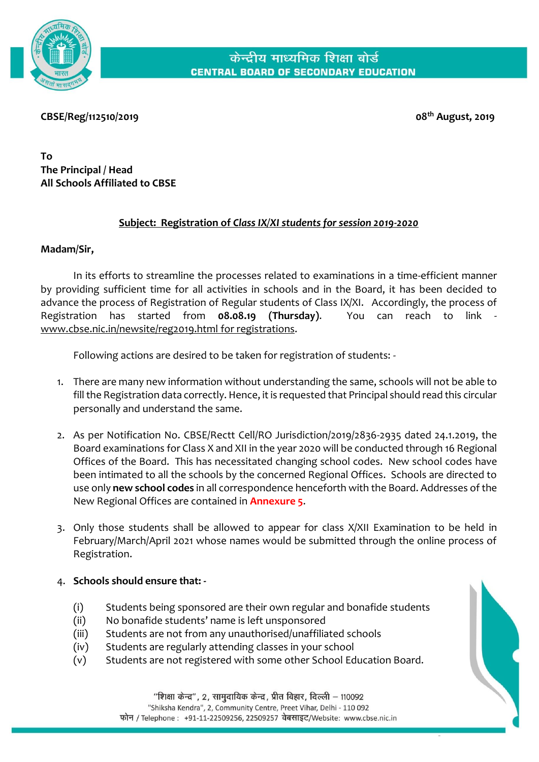

**CBSE/Reg/112510/2019 08th August, 2019**

**To The Principal / Head All Schools Affiliated to CBSE**

### **Subject: Registration of** *Class IX/XI students for session 2019-2020*

### **Madam/Sir,**

In its efforts to streamline the processes related to examinations in a time-efficient manner by providing sufficient time for all activities in schools and in the Board, it has been decided to advance the process of Registration of Regular students of Class IX/XI. Accordingly, the process of Registration has started from **08.08.19 (Thursday)**. You can reach to link [www.cbse.nic.in/newsite/reg2019.html](http://www.cbse.nic.in/newsite/reg2019.html) for registrations.

Following actions are desired to be taken for registration of students: -

- 1. There are many new information without understanding the same, schools will not be able to fill the Registration data correctly. Hence, it is requested that Principal should read this circular personally and understand the same.
- 2. As per Notification No. CBSE/Rectt Cell/RO Jurisdiction/2019/2836-2935 dated 24.1.2019, the Board examinations for Class X and XII in the year 2020 will be conducted through 16 Regional Offices of the Board. This has necessitated changing school codes. New school codes have been intimated to all the schools by the concerned Regional Offices. Schools are directed to use only **new school codes** in all correspondence henceforth with the Board. Addresses of the New Regional Offices are contained in **Annexure 5**.
- 3. Only those students shall be allowed to appear for class X/XII Examination to be held in February/March/April 2021 whose names would be submitted through the online process of Registration.
- 4. **Schools should ensure that: -**
	- (i) Students being sponsored are their own regular and bonafide students
	- (ii) No bonafide students' name is left unsponsored
	- (iii) Students are not from any unauthorised/unaffiliated schools
	- (iv) Students are regularly attending classes in your school
	- (v) Students are not registered with some other School Education Board.

"शिक्षा केन्द्र", 2, सामुदायिक केन्द्र, प्रीत विहार, दिल्ली – 110092 "Shiksha Kendra", 2, Community Centre, Preet Vihar, Delhi - 110 092 फोन / Telephone : +91-11-22509256, 22509257 वेबसाइट/Website: www.cbse.nic.in

CENTRAL BOARD OF SECONDARY EDUCATION Page **1** of **33**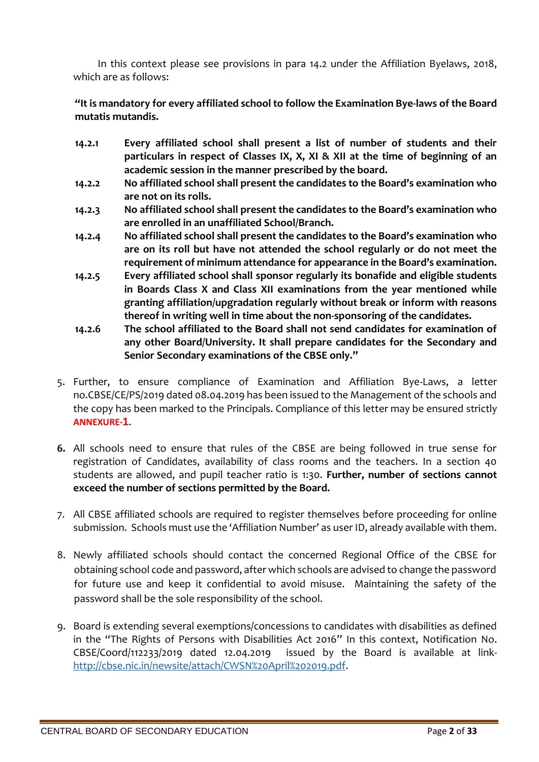In this context please see provisions in para 14.2 under the Affiliation Byelaws, 2018, which are as follows:

**"It is mandatory for every affiliated school to follow the Examination Bye-laws of the Board mutatis mutandis.**

- **14.2.1 Every affiliated school shall present a list of number of students and their particulars in respect of Classes IX, X, XI & XII at the time of beginning of an academic session in the manner prescribed by the board.**
- **14.2.2 No affiliated school shall present the candidates to the Board's examination who are not on its rolls.**
- **14.2.3 No affiliated school shall present the candidates to the Board's examination who are enrolled in an unaffiliated School/Branch.**
- **14.2.4 No affiliated school shall present the candidates to the Board's examination who are on its roll but have not attended the school regularly or do not meet the requirement of minimum attendance for appearance in the Board's examination.**
- **14.2.5 Every affiliated school shall sponsor regularly its bonafide and eligible students in Boards Class X and Class XII examinations from the year mentioned while granting affiliation/upgradation regularly without break or inform with reasons thereof in writing well in time about the non-sponsoring of the candidates.**
- **14.2.6 The school affiliated to the Board shall not send candidates for examination of any other Board/University. It shall prepare candidates for the Secondary and Senior Secondary examinations of the CBSE only."**
- 5. Further, to ensure compliance of Examination and Affiliation Bye-Laws, a letter no.CBSE/CE/PS/2019 dated 08.04.2019 has been issued to the Management of the schools and the copy has been marked to the Principals. Compliance of this letter may be ensured strictly **ANNEXURE-1**.
- **6.** All schools need to ensure that rules of the CBSE are being followed in true sense for registration of Candidates, availability of class rooms and the teachers. In a section 40 students are allowed, and pupil teacher ratio is 1:30. **Further, number of sections cannot exceed the number of sections permitted by the Board.**
- 7. All CBSE affiliated schools are required to register themselves before proceeding for online submission. Schools must use the 'Affiliation Number' as user ID, already available with them.
- 8. Newly affiliated schools should contact the concerned Regional Office of the CBSE for obtaining school code and password, after which schools are advised to change the password for future use and keep it confidential to avoid misuse. Maintaining the safety of the password shall be the sole responsibility of the school.
- 9. Board is extending several exemptions/concessions to candidates with disabilities as defined in the "The Rights of Persons with Disabilities Act 2016" In this context, Notification No. CBSE/Coord/112233/2019 dated 12.04.2019 issued by the Board is available at link[http://cbse.nic.in/newsite/attach/CWSN%20April%202019.pdf.](http://cbse.nic.in/newsite/attach/CWSN%20April%202019.pdf)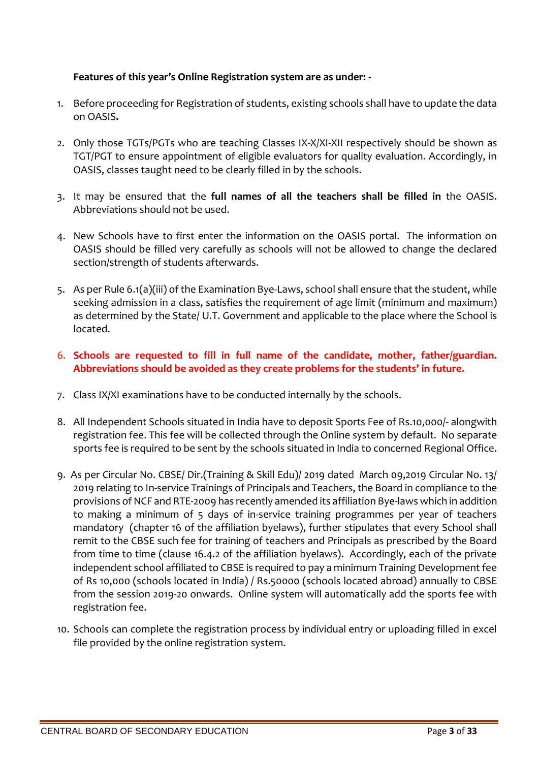### **Features of this year's Online Registration system are as under: -**

- 1. Before proceeding for Registration of students, existing schools shall have to update the data on OASIS**.**
- 2. Only those TGTs/PGTs who are teaching Classes IX-X/XI-XII respectively should be shown as TGT/PGT to ensure appointment of eligible evaluators for quality evaluation. Accordingly, in OASIS, classes taught need to be clearly filled in by the schools.
- 3. It may be ensured that the **full names of all the teachers shall be filled in** the OASIS. Abbreviations should not be used.
- 4. New Schools have to first enter the information on the OASIS portal. The information on OASIS should be filled very carefully as schools will not be allowed to change the declared section/strength of students afterwards.
- 5. As per Rule 6.1(a)(iii) of the Examination Bye-Laws, school shall ensure that the student, while seeking admission in a class, satisfies the requirement of age limit (minimum and maximum) as determined by the State/ U.T. Government and applicable to the place where the School is located.
- 6. **Schools are requested to fill in full name of the candidate, mother, father/guardian. Abbreviations should be avoided as they create problems for the students' in future.**
- 7. Class IX/XI examinations have to be conducted internally by the schools.
- 8. All Independent Schools situated in India have to deposit Sports Fee of Rs.10,000/- alongwith registration fee. This fee will be collected through the Online system by default. No separate sports fee is required to be sent by the schools situated in India to concerned Regional Office.
- 9. As per Circular No. CBSE/ Dir.(Training & Skill Edu)/ 2019 dated March 09,2019 Circular No. 13/ 2019 relating to In-service Trainings of Principals and Teachers, the Board in compliance to the provisions of NCF and RTE-2009 has recently amended its affiliation Bye-laws which in addition to making a minimum of 5 days of in-service training programmes per year of teachers mandatory (chapter 16 of the affiliation byelaws), further stipulates that every School shall remit to the CBSE such fee for training of teachers and Principals as prescribed by the Board from time to time (clause 16.4.2 of the affiliation byelaws). Accordingly, each of the private independent school affiliated to CBSE is required to pay a minimum Training Development fee of Rs 10,000 (schools located in India) / Rs.50000 (schools located abroad) annually to CBSE from the session 2019-20 onwards. Online system will automatically add the sports fee with registration fee.
- 10. Schools can complete the registration process by individual entry or uploading filled in excel file provided by the online registration system.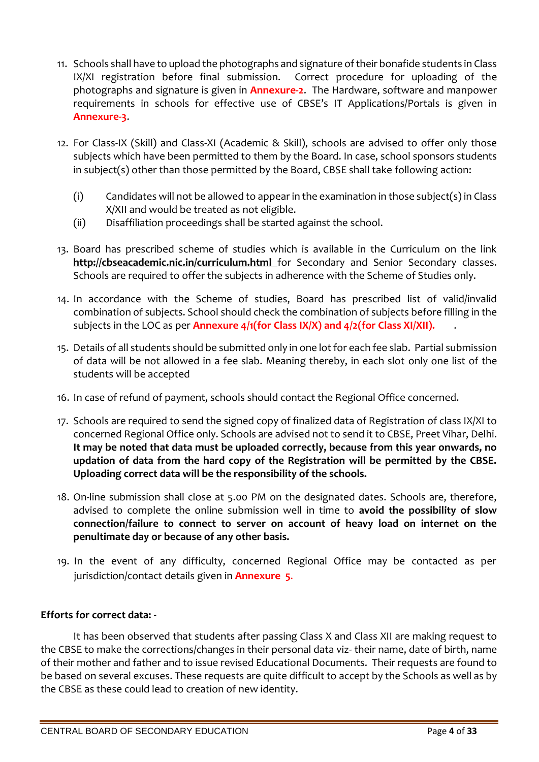- 11. Schools shall have to upload the photographs and signature of their bonafide students in Class IX/XI registration before final submission. Correct procedure for uploading of the photographs and signature is given in **Annexure-2**. The Hardware, software and manpower requirements in schools for effective use of CBSE's IT Applications/Portals is given in **Annexure-3**.
- 12. For Class-IX (Skill) and Class-XI (Academic & Skill), schools are advised to offer only those subjects which have been permitted to them by the Board. In case, school sponsors students in subject(s) other than those permitted by the Board, CBSE shall take following action:
	- (i) Candidates will not be allowed to appear in the examination in those subject(s) in Class X/XII and would be treated as not eligible.
	- (ii) Disaffiliation proceedings shall be started against the school.
- 13. Board has prescribed scheme of studies which is available in the Curriculum on the link <http://cbseacademic.nic.in/curriculum.html> for Secondary and Senior Secondary classes. Schools are required to offer the subjects in adherence with the Scheme of Studies only.
- 14. In accordance with the Scheme of studies, Board has prescribed list of valid/invalid combination of subjects. School should check the combination of subjects before filling in the subjects in the LOC as per **Annexure 4/1(for Class IX/X) and 4/2(for Class XI/XII).** .
- 15. Details of all students should be submitted only in one lot for each fee slab. Partial submission of data will be not allowed in a fee slab. Meaning thereby, in each slot only one list of the students will be accepted
- 16. In case of refund of payment, schools should contact the Regional Office concerned.
- 17. Schools are required to send the signed copy of finalized data of Registration of class IX/XI to concerned Regional Office only. Schools are advised not to send it to CBSE, Preet Vihar, Delhi. **It may be noted that data must be uploaded correctly, because from this year onwards, no updation of data from the hard copy of the Registration will be permitted by the CBSE. Uploading correct data will be the responsibility of the schools.**
- 18. On-line submission shall close at 5.00 PM on the designated dates. Schools are, therefore, advised to complete the online submission well in time to **avoid the possibility of slow connection/failure to connect to server on account of heavy load on internet on the penultimate day or because of any other basis.**
- 19. In the event of any difficulty, concerned Regional Office may be contacted as per jurisdiction/contact details given in **Annexure 5**.

### **Efforts for correct data: -**

It has been observed that students after passing Class X and Class XII are making request to the CBSE to make the corrections/changes in their personal data viz- their name, date of birth, name of their mother and father and to issue revised Educational Documents. Their requests are found to be based on several excuses. These requests are quite difficult to accept by the Schools as well as by the CBSE as these could lead to creation of new identity.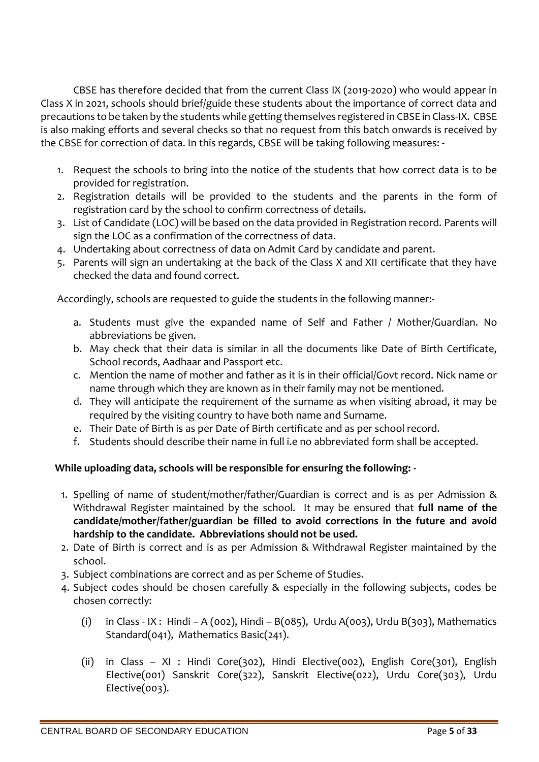CBSE has therefore decided that from the current Class IX (2019-2020) who would appear in Class X in 2021, schools should brief/guide these students about the importance of correct data and precautions to be taken by the students while getting themselves registered in CBSE in Class-IX. CBSE is also making efforts and several checks so that no request from this batch onwards is received by the CBSE for correction of data. In this regards, CBSE will be taking following measures: -

- 1. Request the schools to bring into the notice of the students that how correct data is to be provided for registration.
- 2. Registration details will be provided to the students and the parents in the form of registration card by the school to confirm correctness of details.
- 3. List of Candidate (LOC) will be based on the data provided in Registration record. Parents will sign the LOC as a confirmation of the correctness of data.
- 4. Undertaking about correctness of data on Admit Card by candidate and parent.
- 5. Parents will sign an undertaking at the back of the Class X and XII certificate that they have checked the data and found correct.

Accordingly, schools are requested to guide the students in the following manner:-

- a. Students must give the expanded name of Self and Father / Mother/Guardian. No abbreviations be given.
- b. May check that their data is similar in all the documents like Date of Birth Certificate, School records, Aadhaar and Passport etc.
- c. Mention the name of mother and father as it is in their official/Govt record. Nick name or name through which they are known as in their family may not be mentioned.
- d. They will anticipate the requirement of the surname as when visiting abroad, it may be required by the visiting country to have both name and Surname.
- e. Their Date of Birth is as per Date of Birth certificate and as per school record.
- f. Students should describe their name in full i.e no abbreviated form shall be accepted.

## **While uploading data, schools will be responsible for ensuring the following: -**

- 1. Spelling of name of student/mother/father/Guardian is correct and is as per Admission & Withdrawal Register maintained by the school. It may be ensured that **full name of the candidate/mother/father/guardian be filled to avoid corrections in the future and avoid hardship to the candidate. Abbreviations should not be used.**
- 2. Date of Birth is correct and is as per Admission & Withdrawal Register maintained by the school.
- 3. Subject combinations are correct and as per Scheme of Studies.
- 4. Subject codes should be chosen carefully & especially in the following subjects, codes be chosen correctly:
	- (i) in Class IX: Hindi A (002), Hindi B (085), Urdu A (003), Urdu B (303), Mathematics Standard(041), Mathematics Basic(241).
	- (ii) in Class XI : Hindi Core(302), Hindi Elective(002), English Core(301), English Elective(001) Sanskrit Core(322), Sanskrit Elective(022), Urdu Core(303), Urdu Elective(003).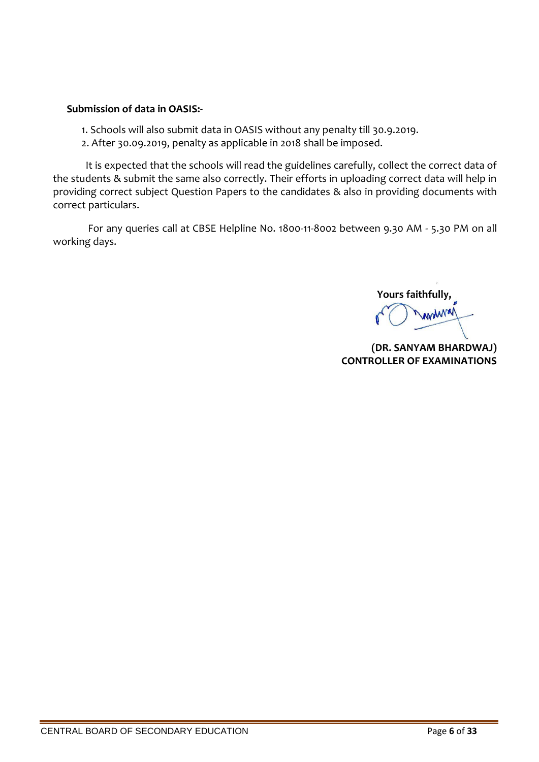### **Submission of data in OASIS:-**

- 1. Schools will also submit data in OASIS without any penalty till 30.9.2019.
- 2. After 30.09.2019, penalty as applicable in 2018 shall be imposed.

It is expected that the schools will read the guidelines carefully, collect the correct data of the students & submit the same also correctly. Their efforts in uploading correct data will help in providing correct subject Question Papers to the candidates & also in providing documents with correct particulars.

For any queries call at CBSE Helpline No. 1800-11-8002 between 9.30 AM - 5.30 PM on all working days.

 **Yours faithfully,** WWW

**(DR. SANYAM BHARDWAJ) CONTROLLER OF EXAMINATIONS**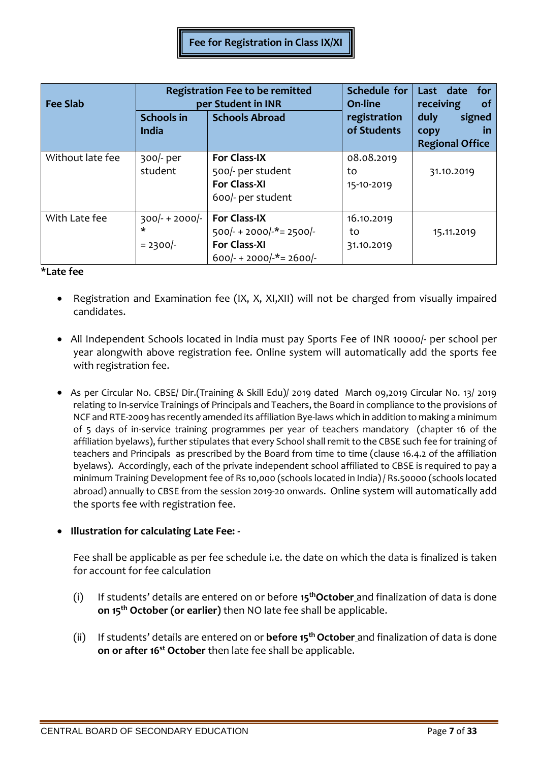| <b>Fee Slab</b>  |                                     | <b>Registration Fee to be remitted</b><br>per Student in INR                                           | Schedule for<br>On-line        | Last date<br>for<br>receiving<br><b>of</b>                       |
|------------------|-------------------------------------|--------------------------------------------------------------------------------------------------------|--------------------------------|------------------------------------------------------------------|
|                  | <b>Schools in</b><br>India          | <b>Schools Abroad</b>                                                                                  | registration<br>of Students    | signed<br>duly<br>copy<br>$\mathsf{m}$<br><b>Regional Office</b> |
| Without late fee | $300/-$ per<br>student              | <b>For Class-IX</b><br>500/- per student<br><b>For Class-XI</b><br>600/- per student                   | 08.08.2019<br>to<br>15-10-2019 | 31.10.2019                                                       |
| With Late fee    | $300/- + 2000/-$<br>*<br>$= 2300/-$ | <b>For Class-IX</b><br>$500/- + 2000/-$ *= 2500/-<br><b>For Class-XI</b><br>$600/- + 2000/-$ *= 2600/- | 16.10.2019<br>to<br>31.10.2019 | 15.11.2019                                                       |

### **\*Late fee**

- Registration and Examination fee (IX, X, XI,XII) will not be charged from visually impaired candidates.
- All Independent Schools located in India must pay Sports Fee of INR 10000/- per school per year alongwith above registration fee. Online system will automatically add the sports fee with registration fee.
- As per Circular No. CBSE/ Dir.(Training & Skill Edu)/ 2019 dated March 09,2019 Circular No. 13/ 2019 relating to In-service Trainings of Principals and Teachers, the Board in compliance to the provisions of NCF and RTE-2009 has recently amended its affiliation Bye-laws which in addition to making a minimum of 5 days of in-service training programmes per year of teachers mandatory (chapter 16 of the affiliation byelaws), further stipulates that every School shall remit to the CBSE such fee for training of teachers and Principals as prescribed by the Board from time to time (clause 16.4.2 of the affiliation byelaws). Accordingly, each of the private independent school affiliated to CBSE is required to pay a minimum Training Development fee of Rs 10,000 (schools located in India) / Rs.50000 (schools located abroad) annually to CBSE from the session 2019-20 onwards. Online system will automatically add the sports fee with registration fee.

### **Illustration for calculating Late Fee: -**

Fee shall be applicable as per fee schedule i.e. the date on which the data is finalized is taken for account for fee calculation

- (i) If students' details are entered on or before **15thOctober** and finalization of data is done **on 15th October (or earlier)** then NO late fee shall be applicable.
- (ii) If students' details are entered on or **before 15th October** and finalization of data is done **on or after 16 st October** then late fee shall be applicable.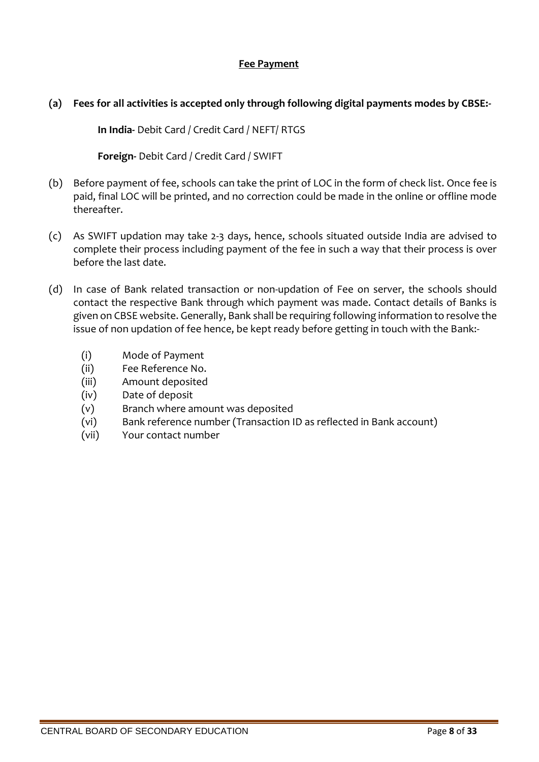### **Fee Payment**

### **(a) Fees for all activities is accepted only through following digital payments modes by CBSE:-**

**In India-** Debit Card / Credit Card / NEFT/ RTGS

**Foreign-** Debit Card / Credit Card / SWIFT

- (b) Before payment of fee, schools can take the print of LOC in the form of check list. Once fee is paid, final LOC will be printed, and no correction could be made in the online or offline mode thereafter.
- (c) As SWIFT updation may take 2-3 days, hence, schools situated outside India are advised to complete their process including payment of the fee in such a way that their process is over before the last date.
- (d) In case of Bank related transaction or non-updation of Fee on server, the schools should contact the respective Bank through which payment was made. Contact details of Banks is given on CBSE website. Generally, Bank shall be requiring following information to resolve the issue of non updation of fee hence, be kept ready before getting in touch with the Bank:-
	- (i) Mode of Payment
	- (ii) Fee Reference No.
	- (iii) Amount deposited
	- (iv) Date of deposit
	- (v) Branch where amount was deposited
	- (vi) Bank reference number (Transaction ID as reflected in Bank account)
	- (vii) Your contact number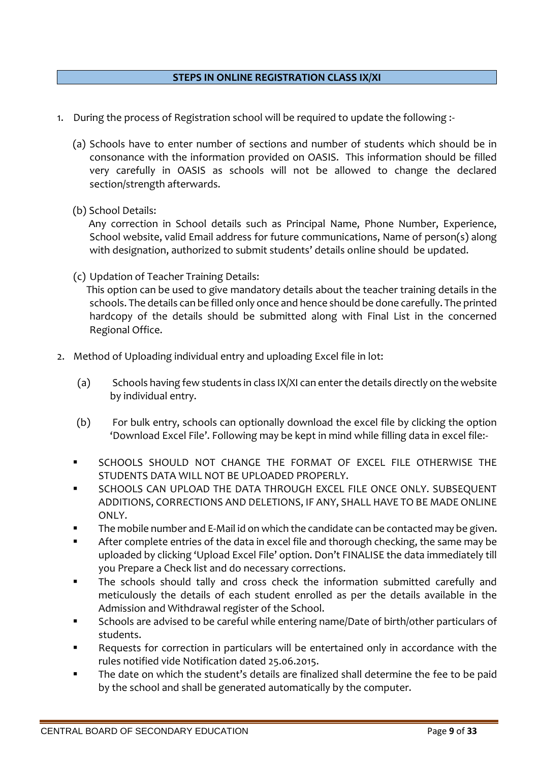### **STEPS IN ONLINE REGISTRATION CLASS IX/XI**

- 1. During the process of Registration school will be required to update the following :-
	- (a) Schools have to enter number of sections and number of students which should be in consonance with the information provided on OASIS. This information should be filled very carefully in OASIS as schools will not be allowed to change the declared section/strength afterwards.
	- (b) School Details:

 Any correction in School details such as Principal Name, Phone Number, Experience, School website, valid Email address for future communications, Name of person(s) along with designation, authorized to submit students' details online should be updated.

(c) Updation of Teacher Training Details:

 This option can be used to give mandatory details about the teacher training details in the schools. The details can be filled only once and hence should be done carefully. The printed hardcopy of the details should be submitted along with Final List in the concerned Regional Office.

- 2. Method of Uploading individual entry and uploading Excel file in lot:
	- (a) Schools having few students in class IX/XI can enter the details directly on the website by individual entry.
	- (b) For bulk entry, schools can optionally download the excel file by clicking the option 'Download Excel File'. Following may be kept in mind while filling data in excel file:-
	- SCHOOLS SHOULD NOT CHANGE THE FORMAT OF EXCEL FILE OTHERWISE THE STUDENTS DATA WILL NOT BE UPLOADED PROPERLY.
	- SCHOOLS CAN UPLOAD THE DATA THROUGH EXCEL FILE ONCE ONLY. SUBSEQUENT ADDITIONS, CORRECTIONS AND DELETIONS, IF ANY, SHALL HAVE TO BE MADE ONLINE ONLY.
	- The mobile number and E-Mail id on which the candidate can be contacted may be given.
	- After complete entries of the data in excel file and thorough checking, the same may be uploaded by clicking 'Upload Excel File' option. Don't FINALISE the data immediately till you Prepare a Check list and do necessary corrections.
	- The schools should tally and cross check the information submitted carefully and meticulously the details of each student enrolled as per the details available in the Admission and Withdrawal register of the School.
	- Schools are advised to be careful while entering name/Date of birth/other particulars of students.
	- Requests for correction in particulars will be entertained only in accordance with the rules notified vide Notification dated 25.06.2015.
	- The date on which the student's details are finalized shall determine the fee to be paid by the school and shall be generated automatically by the computer.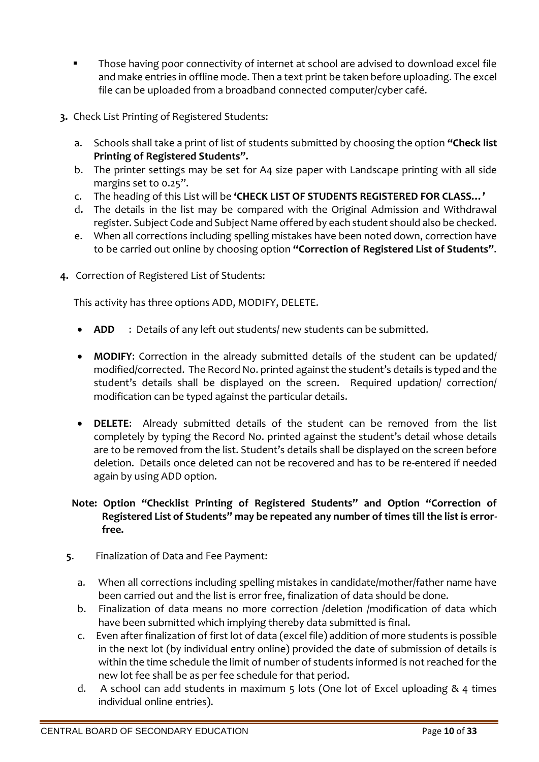- Those having poor connectivity of internet at school are advised to download excel file and make entries in offline mode. Then a text print be taken before uploading. The excel file can be uploaded from a broadband connected computer/cyber café.
- **3.** Check List Printing of Registered Students:
	- a. Schools shall take a print of list of students submitted by choosing the option **"Check list Printing of Registered Students".**
	- b. The printer settings may be set for A4 size paper with Landscape printing with all side margins set to 0.25".
	- c. The heading of this List will be **'CHECK LIST OF STUDENTS REGISTERED FOR CLASS…'**
	- d**.** The details in the list may be compared with the Original Admission and Withdrawal register. Subject Code and Subject Name offered by each student should also be checked.
	- e. When all corrections including spelling mistakes have been noted down, correction have to be carried out online by choosing option **"Correction of Registered List of Students"**.
- **4.** Correction of Registered List of Students:

This activity has three options ADD, MODIFY, DELETE.

- **ADD** : Details of any left out students/ new students can be submitted.
- **MODIFY**: Correction in the already submitted details of the student can be updated/ modified/corrected. The Record No. printed against the student's details is typed and the student's details shall be displayed on the screen. Required updation/ correction/ modification can be typed against the particular details.
- **DELETE**: Already submitted details of the student can be removed from the list completely by typing the Record No. printed against the student's detail whose details are to be removed from the list. Student's details shall be displayed on the screen before deletion. Details once deleted can not be recovered and has to be re-entered if needed again by using ADD option.

## **Note: Option "Checklist Printing of Registered Students" and Option "Correction of Registered List of Students" may be repeated any number of times till the list is errorfree.**

- **5**. Finalization of Data and Fee Payment:
	- a. When all corrections including spelling mistakes in candidate/mother/father name have been carried out and the list is error free, finalization of data should be done.
	- b. Finalization of data means no more correction /deletion /modification of data which have been submitted which implying thereby data submitted is final.
	- c. Even after finalization of first lot of data (excel file) addition of more students is possible in the next lot (by individual entry online) provided the date of submission of details is within the time schedule the limit of number of students informed is not reached for the new lot fee shall be as per fee schedule for that period.
	- d. A school can add students in maximum 5 lots (One lot of Excel uploading & 4 times individual online entries).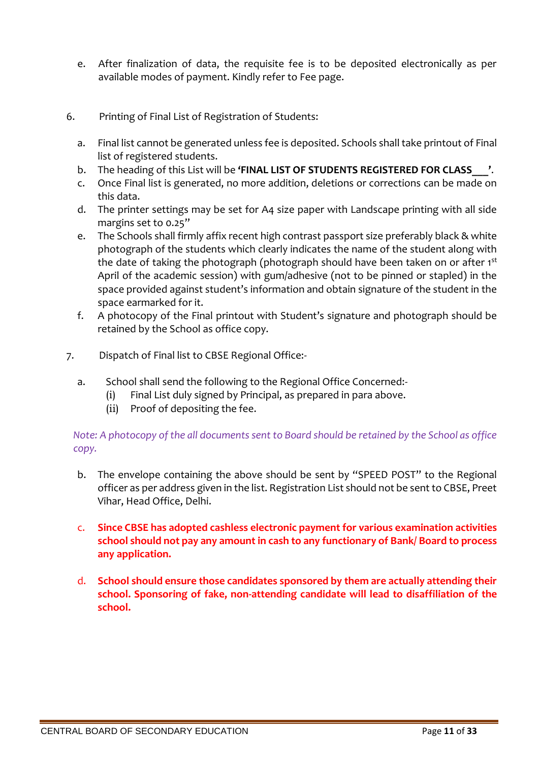- e. After finalization of data, the requisite fee is to be deposited electronically as per available modes of payment. Kindly refer to Fee page.
- 6. Printing of Final List of Registration of Students:
	- a. Final list cannot be generated unless fee is deposited. Schools shall take printout of Final list of registered students.
	- b. The heading of this List will be **'FINAL LIST OF STUDENTS REGISTERED FOR CLASS** ...
	- c. Once Final list is generated, no more addition, deletions or corrections can be made on this data.
	- d. The printer settings may be set for A4 size paper with Landscape printing with all side margins set to 0.25"
	- e. The Schools shall firmly affix recent high contrast passport size preferably black & white photograph of the students which clearly indicates the name of the student along with the date of taking the photograph (photograph should have been taken on or after 1st April of the academic session) with gum/adhesive (not to be pinned or stapled) in the space provided against student's information and obtain signature of the student in the space earmarked for it.
	- f. A photocopy of the Final printout with Student's signature and photograph should be retained by the School as office copy.
- 7. Dispatch of Final list to CBSE Regional Office:
	- a. School shall send the following to the Regional Office Concerned:-
		- (i) Final List duly signed by Principal, as prepared in para above.
		- (ii) Proof of depositing the fee.

*Note: A photocopy of the all documents sent to Board should be retained by the School as office copy.*

- b. The envelope containing the above should be sent by "SPEED POST" to the Regional officer as per address given in the list. Registration List should not be sent to CBSE, Preet Vihar, Head Office, Delhi.
- c. **Since CBSE has adopted cashless electronic payment for various examination activities school should not pay any amount in cash to any functionary of Bank/ Board to process any application.**
- d. **School should ensure those candidates sponsored by them are actually attending their school. Sponsoring of fake, non-attending candidate will lead to disaffiliation of the school.**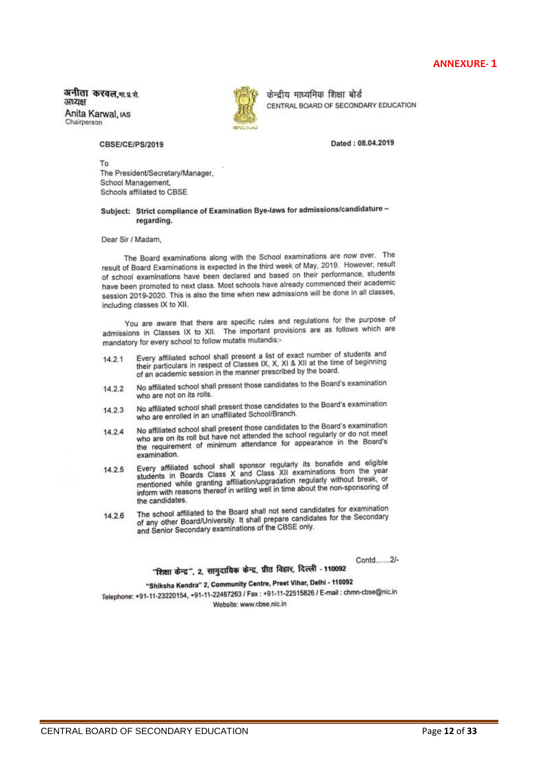अनीता करवल, मा.प्र.से. ЗЛЕДЕН Anita Karwal, IAS





केन्द्रीय माध्यमिक शिक्षा बोर्ड CENTRAL BOARD OF SECONDARY EDUCATION

Dated: 08.04.2019

CBSE/CE/PS/2019

To The President/Secretary/Manager, School Management, Schools affiliated to CBSE

#### Subject: Strict compliance of Examination Bye-laws for admissions/candidature regarding.

Dear Sir / Madam,

The Board examinations along with the School examinations are now over. The result of Board Examinations is expected in the third week of May, 2019. However, result of school examinations have been declared and based on their performance, students have been promoted to next class. Most schools have already commenced their academic session 2019-2020. This is also the time when new admissions will be done in all classes, including classes IX to XII.

You are aware that there are specific rules and regulations for the purpose of admissions in Classes IX to XII. The important provisions are as follows which are mandatory for every school to follow mutatis mutandis:-

- Every affiliated school shall present a list of exact number of students and  $14.2.1$ Every affiliated school shall present a list of exact number of students and<br>their particulars in respect of Classes IX, X, XII at the time of beginning of an academic session in the manner prescribed by the board.
- No affiliated school shall present those candidates to the Board's examination 14.2.2 who are not on its rolls.
- No affiliated school shall present those candidates to the Board's examination 14.2.3 who are enrolled in an unaffiliated School/Branch.
- No affiliated school shall present those candidates to the Board's examination No affiliated school shall present those candidates to the Board's examination.<br>Who are on its roll but have not attended the school regularly or do not meet 14.2.4 who are on its roll but have not attended the school regularly or do not meet<br>the requirement of minimum attendance for appearance in the Board's examination.
- Examination.<br>Every affiliated school shall sponsor regularly its bonafide and eligible<br>students in Boards Class X and Class XII examinations from the year 14.2.5 students in Boards Class X and Class XII examinations from the year<br>mentioned while granting affiliation/upgradation regularly without break, or mentioned while granting affiliation/upgradation regularly without break, or<br>inform with reasons thereof in writing well in time about the non-sponsoring of the candidates.
- The school affiliated to the Board shall not send candidates for examination 14.2.6 The school affiliated to the Board shall not send candidates for the Secondary<br>of any other Board/University, It shall prepare candidates for the Secondary of any other Board/University. It shall prepare candidate and Senior Secondary examinations of the CBSE only.

Contd......2/-

"शिक्षा केन्द्र", 2, सामुदायिक केन्द्र, प्रीत विहार, दिल्ली - 110092

# "Shiksha Kendra" 2, Community Centre, Preet Vihar, Delhi - 110092

"Shiksha Kendra" 2, Community Centre, Prest Vinci, Sensi Para Community<br>Telephone: +91-11-22515826 / E-mail : chmn-cbse@nic.in Website: www.cbse.nic.in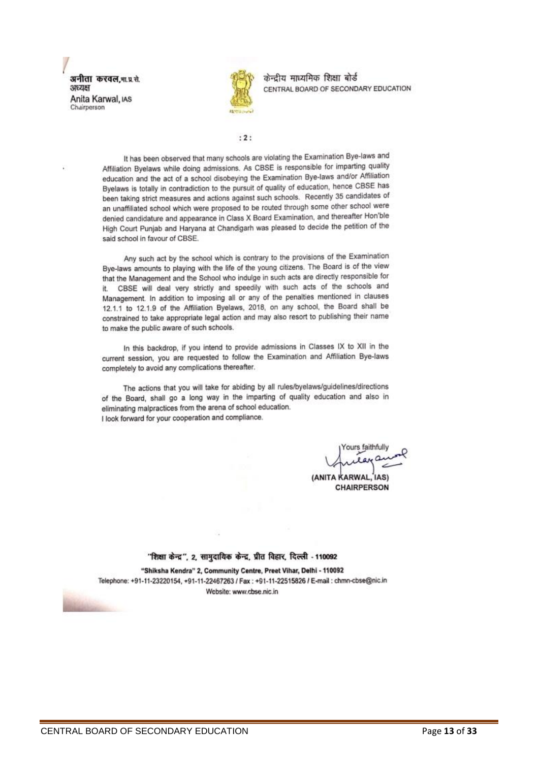अनीता करवल गा प्र.से. зледен Anita Karwal, IAS Chairperson



केन्दीय माध्यमिक शिक्षा बोर्ड CENTRAL BOARD OF SECONDARY EDUCATION

#### $: 2:$

It has been observed that many schools are violating the Examination Bye-laws and Affiliation Byelaws while doing admissions. As CBSE is responsible for imparting quality education and the act of a school disobeying the Examination Bye-laws and/or Affiliation Byelaws is totally in contradiction to the pursuit of quality of education, hence CBSE has been taking strict measures and actions against such schools. Recently 35 candidates of an unaffiliated school which were proposed to be routed through some other school were denied candidature and appearance in Class X Board Examination, and thereafter Hon'ble High Court Punjab and Haryana at Chandigarh was pleased to decide the petition of the said school in favour of CBSE.

Any such act by the school which is contrary to the provisions of the Examination Bye-laws amounts to playing with the life of the young citizens. The Board is of the view that the Management and the School who indulge in such acts are directly responsible for it. CBSE will deal very strictly and speedily with such acts of the schools and Management. In addition to imposing all or any of the penalties mentioned in clauses 12.1.1 to 12.1.9 of the Affiliation Byelaws, 2018, on any school, the Board shall be constrained to take appropriate legal action and may also resort to publishing their name to make the public aware of such schools.

In this backdrop, if you intend to provide admissions in Classes IX to XII in the current session, you are requested to follow the Examination and Affiliation Bye-laws completely to avoid any complications thereafter.

The actions that you will take for abiding by all rules/byelaws/guidelines/directions of the Board, shall go a long way in the imparting of quality education and also in eliminating malpractices from the arena of school education. I look forward for your cooperation and compliance.

ours faithfully

(ANITA KARWAL) **CHAIRPERSON** 

#### "शिक्षा केन्द्र", 2, सामुदायिक केन्द्र, प्रीत विहार, दिल्ली - 110092

"Shiksha Kendra" 2, Community Centre, Preet Vihar, Delhi - 110092 Telephone: +91-11-23220154, +91-11-22467263 / Fax: +91-11-22515826 / E-mail: chmn-cbse@nic.in Website: www.cbse.nic.in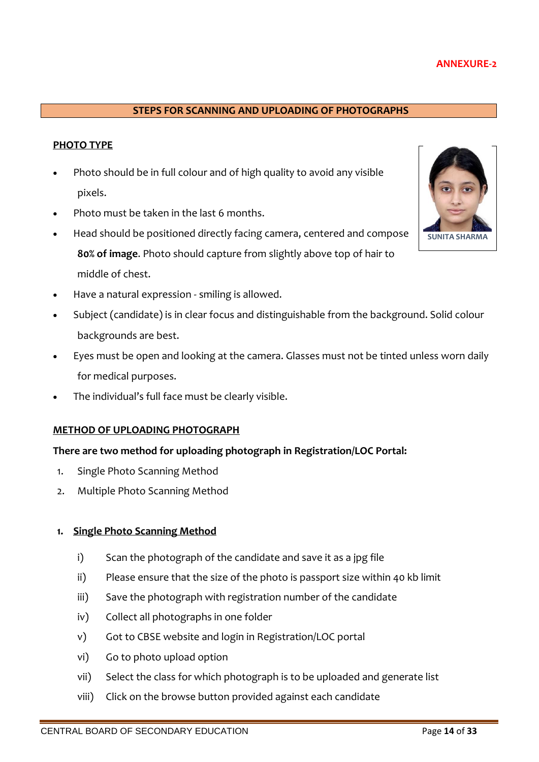### **ANNEXURE-2**

### **STEPS FOR SCANNING AND UPLOADING OF PHOTOGRAPHS**

### **PHOTO TYPE**

- Photo should be in full colour and of high quality to avoid any visible pixels.
- Photo must be taken in the last 6 months.
- Head should be positioned directly facing camera, centered and compose **80% of image**. Photo should capture from slightly above top of hair to middle of chest.



- Subject (candidate) is in clear focus and distinguishable from the background. Solid colour backgrounds are best.
- Eyes must be open and looking at the camera. Glasses must not be tinted unless worn daily for medical purposes.
- The individual's full face must be clearly visible.

#### **METHOD OF UPLOADING PHOTOGRAPH**

### **There are two method for uploading photograph in Registration/LOC Portal:**

- 1. Single Photo Scanning Method
- 2. Multiple Photo Scanning Method

### **1. Single Photo Scanning Method**

- i) Scan the photograph of the candidate and save it as a jpg file
- ii) Please ensure that the size of the photo is passport size within 40 kb limit
- iii) Save the photograph with registration number of the candidate
- iv) Collect all photographs in one folder
- v) Got to CBSE website and login in Registration/LOC portal
- vi) Go to photo upload option
- vii) Select the class for which photograph is to be uploaded and generate list
- viii) Click on the browse button provided against each candidate

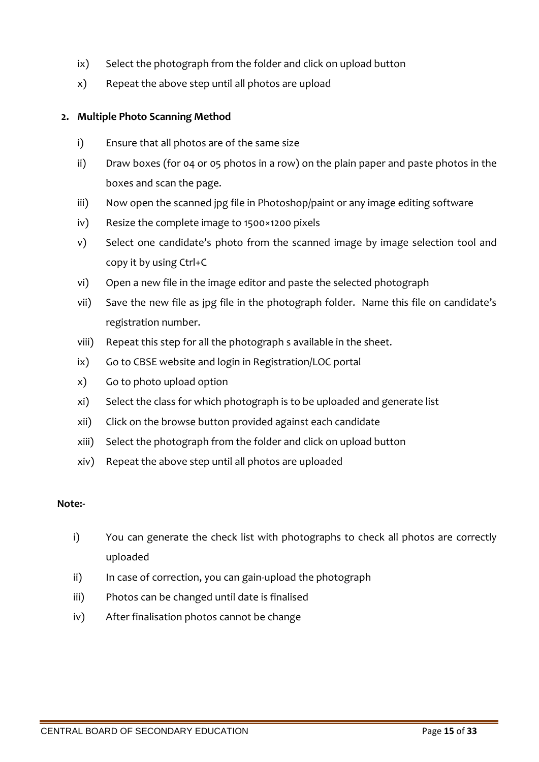- ix) Select the photograph from the folder and click on upload button
- x) Repeat the above step until all photos are upload

### **2. Multiple Photo Scanning Method**

- i) Ensure that all photos are of the same size
- ii) Draw boxes (for 04 or 05 photos in a row) on the plain paper and paste photos in the boxes and scan the page.
- iii) Now open the scanned jpg file in Photoshop/paint or any image editing software
- iv) Resize the complete image to 1500×1200 pixels
- v) Select one candidate's photo from the scanned image by image selection tool and copy it by using Ctrl+C
- vi) Open a new file in the image editor and paste the selected photograph
- vii) Save the new file as jpg file in the photograph folder. Name this file on candidate's registration number.
- viii) Repeat this step for all the photograph s available in the sheet.
- ix) Go to CBSE website and login in Registration/LOC portal
- x) Go to photo upload option
- xi) Select the class for which photograph is to be uploaded and generate list
- xii) Click on the browse button provided against each candidate
- xiii) Select the photograph from the folder and click on upload button
- xiv) Repeat the above step until all photos are uploaded

### **Note:-**

- i) You can generate the check list with photographs to check all photos are correctly uploaded
- ii) In case of correction, you can gain-upload the photograph
- iii) Photos can be changed until date is finalised
- iv) After finalisation photos cannot be change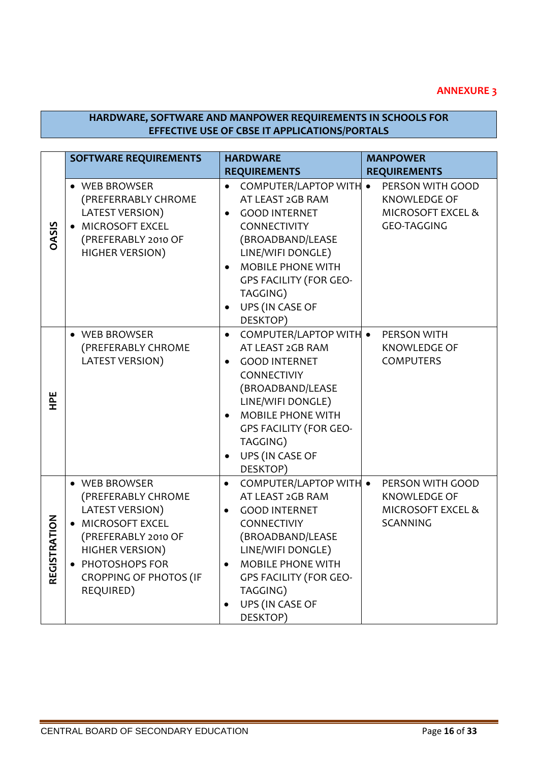### **ANNEXURE 3**

### **HARDWARE, SOFTWARE AND MANPOWER REQUIREMENTS IN SCHOOLS FOR EFFECTIVE USE OF CBSE IT APPLICATIONS/PORTALS**

|                               | <b>SOFTWARE REQUIREMENTS</b>                                                                                                                                                                   | <b>HARDWARE</b>                                                                                                                                                                                                                                                                         | <b>MANPOWER</b>                                                                               |
|-------------------------------|------------------------------------------------------------------------------------------------------------------------------------------------------------------------------------------------|-----------------------------------------------------------------------------------------------------------------------------------------------------------------------------------------------------------------------------------------------------------------------------------------|-----------------------------------------------------------------------------------------------|
|                               |                                                                                                                                                                                                | <b>REQUIREMENTS</b>                                                                                                                                                                                                                                                                     | <b>REQUIREMENTS</b>                                                                           |
| <b>OASIS</b>                  | • WEB BROWSER<br>(PREFERRABLY CHROME<br><b>LATEST VERSION)</b><br>• MICROSOFT EXCEL<br>(PREFERABLY 2010 OF<br><b>HIGHER VERSION)</b>                                                           | COMPUTER/LAPTOP WITH .<br>$\bullet$<br>AT LEAST 2GB RAM<br><b>GOOD INTERNET</b><br>$\bullet$<br>CONNECTIVITY<br>(BROADBAND/LEASE<br>LINE/WIFI DONGLE)<br><b>MOBILE PHONE WITH</b><br>$\bullet$<br><b>GPS FACILITY (FOR GEO-</b><br>TAGGING)<br>UPS (IN CASE OF<br>$\bullet$<br>DESKTOP) | PERSON WITH GOOD<br><b>KNOWLEDGE OF</b><br><b>MICROSOFT EXCEL &amp;</b><br><b>GEO-TAGGING</b> |
| )<br>오                        | • WEB BROWSER<br>(PREFERABLY CHROME<br>LATEST VERSION)                                                                                                                                         | <b>COMPUTER/LAPTOP WITH •</b><br>$\bullet$<br>AT LEAST 2GB RAM<br><b>GOOD INTERNET</b><br>$\bullet$<br><b>CONNECTIVIY</b><br>(BROADBAND/LEASE<br>LINE/WIFI DONGLE)<br><b>MOBILE PHONE WITH</b><br><b>GPS FACILITY (FOR GEO-</b><br>TAGGING)<br>UPS (IN CASE OF<br>DESKTOP)              | PERSON WITH<br><b>KNOWLEDGE OF</b><br><b>COMPUTERS</b>                                        |
| <b>RATION</b><br><b>REGIS</b> | • WEB BROWSER<br>(PREFERABLY CHROME<br>LATEST VERSION)<br>• MICROSOFT EXCEL<br>(PREFERABLY 2010 OF<br><b>HIGHER VERSION)</b><br>• PHOTOSHOPS FOR<br><b>CROPPING OF PHOTOS (IF</b><br>REQUIRED) | COMPUTER/LAPTOP WITH .<br>$\bullet$<br>AT LEAST 2GB RAM<br><b>GOOD INTERNET</b><br>CONNECTIVIY<br>(BROADBAND/LEASE<br>LINE/WIFI DONGLE)<br><b>MOBILE PHONE WITH</b><br><b>GPS FACILITY (FOR GEO-</b><br>TAGGING)<br>UPS (IN CASE OF<br>DESKTOP)                                         | PERSON WITH GOOD<br><b>KNOWLEDGE OF</b><br><b>MICROSOFT EXCEL &amp;</b><br><b>SCANNING</b>    |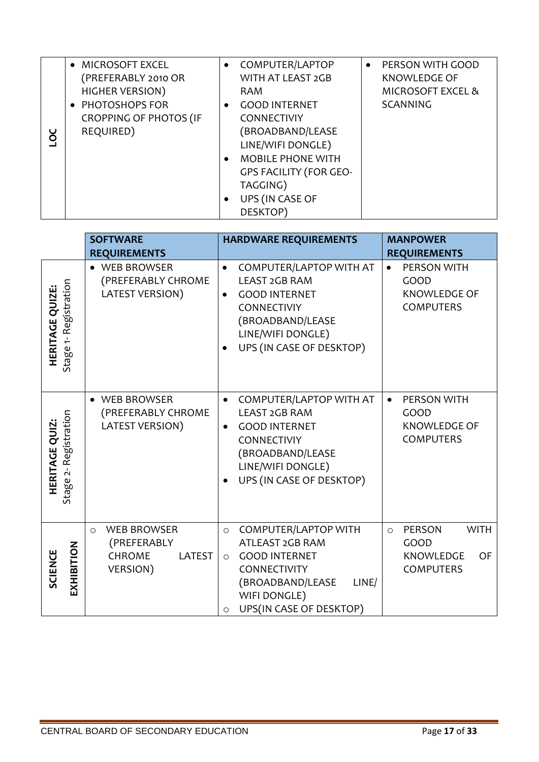| ŏŪ | • MICROSOFT EXCEL<br>(PREFERABLY 2010 OR<br><b>HIGHER VERSION)</b><br>• PHOTOSHOPS FOR<br><b>CROPPING OF PHOTOS (IF</b><br>REQUIRED) | $\bullet$<br>$\bullet$ | COMPUTER/LAPTOP<br>WITH AT LEAST 2GB<br><b>RAM</b><br><b>GOOD INTERNET</b><br><b>CONNECTIVIY</b><br>(BROADBAND/LEASE<br>LINE/WIFI DONGLE) | $\bullet$ | PERSON WITH GOOD<br><b>KNOWLEDGE OF</b><br><b>MICROSOFT EXCEL &amp;</b><br><b>SCANNING</b> |
|----|--------------------------------------------------------------------------------------------------------------------------------------|------------------------|-------------------------------------------------------------------------------------------------------------------------------------------|-----------|--------------------------------------------------------------------------------------------|
|    |                                                                                                                                      | $\bullet$<br>$\bullet$ | <b>MOBILE PHONE WITH</b><br><b>GPS FACILITY (FOR GEO-</b><br>TAGGING)<br>UPS (IN CASE OF<br>DESKTOP)                                      |           |                                                                                            |

| DC                                                    |                          | REQUIRED)                                                                    | (BROADBAND/LEASE<br>LINE/WIFI DONGLE)<br><b>MOBILE PHONE WITH</b><br>$\bullet$<br><b>GPS FACILITY (FOR GEO-</b><br>TAGGING)<br>UPS (IN CASE OF<br>٠<br>DESKTOP)                                 |                                                                                        |  |  |
|-------------------------------------------------------|--------------------------|------------------------------------------------------------------------------|-------------------------------------------------------------------------------------------------------------------------------------------------------------------------------------------------|----------------------------------------------------------------------------------------|--|--|
|                                                       |                          | <b>SOFTWARE</b>                                                              | <b>HARDWARE REQUIREMENTS</b>                                                                                                                                                                    | <b>MANPOWER</b>                                                                        |  |  |
|                                                       |                          | <b>REQUIREMENTS</b>                                                          |                                                                                                                                                                                                 | <b>REQUIREMENTS</b>                                                                    |  |  |
| <b>HERITAGE QUIZE:</b>                                | Stage 1- Registration    | • WEB BROWSER<br>(PREFERABLY CHROME<br>LATEST VERSION)                       | <b>COMPUTER/LAPTOP WITH AT</b><br>LEAST 2GB RAM<br><b>GOOD INTERNET</b><br>$\bullet$<br>CONNECTIVIY<br>(BROADBAND/LEASE<br>LINE/WIFI DONGLE)<br>UPS (IN CASE OF DESKTOP)                        | PERSON WITH<br>$\bullet$<br>GOOD<br>KNOWLEDGE OF<br><b>COMPUTERS</b>                   |  |  |
| <b>HERITAGE QUIZ:</b>                                 | 2-Registration<br>Stage: | • WEB BROWSER<br>(PREFERABLY CHROME<br>LATEST VERSION)                       | COMPUTER/LAPTOP WITH AT<br>$\bullet$<br>LEAST 2GB RAM<br><b>GOOD INTERNET</b><br>$\bullet$<br>CONNECTIVIY<br>(BROADBAND/LEASE<br>LINE/WIFI DONGLE)<br>UPS (IN CASE OF DESKTOP)                  | PERSON WITH<br>$\bullet$<br>GOOD<br><b>KNOWLEDGE OF</b><br><b>COMPUTERS</b>            |  |  |
| <b>SCIENCE</b>                                        | EXHIBITION               | <b>WEB BROWSER</b><br>$\circ$<br>(PREFERABLY<br>CHROME<br>LATEST<br>VERSION) | <b>COMPUTER/LAPTOP WITH</b><br>$\circ$<br>ATLEAST 2GB RAM<br><b>GOOD INTERNET</b><br>$\circ$<br>CONNECTIVITY<br>(BROADBAND/LEASE<br>LINE/<br>WIFI DONGLE)<br>UPS(IN CASE OF DESKTOP)<br>$\circ$ | PERSON<br><b>WITH</b><br>$\circ$<br>GOOD<br>KNOWLEDGE<br><b>OF</b><br><b>COMPUTERS</b> |  |  |
| CENTRAL BOARD OF SECONDARY EDUCATION<br>Page 17 of 33 |                          |                                                                              |                                                                                                                                                                                                 |                                                                                        |  |  |
|                                                       |                          |                                                                              |                                                                                                                                                                                                 |                                                                                        |  |  |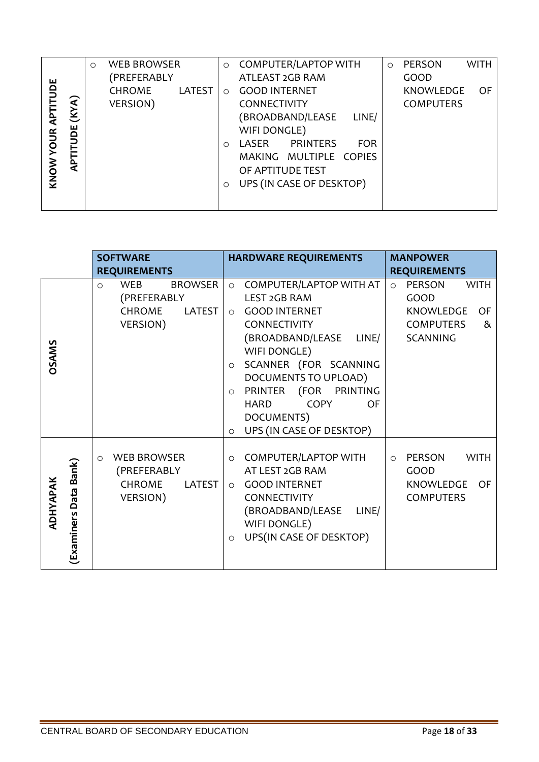|             |       | $\circ$ | <b>WEB BROWSER</b> |        | $\circ$    | <b>COMPUTER/LAPTOP WITH</b> |                 |            | $\circ$ | <b>PERSON</b>    | <b>WITH</b> |
|-------------|-------|---------|--------------------|--------|------------|-----------------------------|-----------------|------------|---------|------------------|-------------|
|             |       |         | (PREFERABLY        |        |            | ATLEAST 2GB RAM             |                 |            |         | GOOD             |             |
| <b>TUDE</b> |       |         | CHROME             | LATEST | $\bigcirc$ | <b>GOOD INTERNET</b>        |                 |            |         | <b>KNOWLEDGE</b> | OF          |
|             | (KYA) |         | VERSION)           |        |            | <b>CONNECTIVITY</b>         |                 |            |         | <b>COMPUTERS</b> |             |
| दे          |       |         |                    |        |            | (BROADBAND/LEASE            |                 | LINE/      |         |                  |             |
|             | JOE   |         |                    |        |            | WIFI DONGLE)                |                 |            |         |                  |             |
| YOUR.       |       |         |                    |        | $\bigcirc$ | LASER                       | <b>PRINTERS</b> | <b>FOR</b> |         |                  |             |
|             | TdV   |         |                    |        |            | MAKING MULTIPLE COPIES      |                 |            |         |                  |             |
| KNOW        |       |         |                    |        |            | OF APTITUDE TEST            |                 |            |         |                  |             |
|             |       |         |                    |        | $\circ$    | UPS (IN CASE OF DESKTOP)    |                 |            |         |                  |             |
|             |       |         |                    |        |            |                             |                 |            |         |                  |             |
|             |       |         |                    |        |            |                             |                 |            |         |                  |             |

| KNOW YOUR APTITUDE<br><b>APTITUDE (KYA)</b> | $(111)$ $-11$ $-11$<br>CHROME<br>LATEST<br>VERSION)                                    | O GOOD INTERNET<br>CONNECTIVITY<br>(BROADBAND/LEASE<br>LINE/<br>WIFI DONGLE)<br>LASER PRINTERS<br><b>FOR</b><br>$\circ$<br>MAKING MULTIPLE COPIES<br>OF APTITUDE TEST<br>UPS (IN CASE OF DESKTOP)<br>$\circ$                                                                                                                                    | <b>OF</b><br><b>KNOWLEDGE</b><br><b>COMPUTERS</b>                                              |
|---------------------------------------------|----------------------------------------------------------------------------------------|-------------------------------------------------------------------------------------------------------------------------------------------------------------------------------------------------------------------------------------------------------------------------------------------------------------------------------------------------|------------------------------------------------------------------------------------------------|
|                                             | <b>SOFTWARE</b><br><b>REQUIREMENTS</b>                                                 | <b>HARDWARE REQUIREMENTS</b>                                                                                                                                                                                                                                                                                                                    | <b>MANPOWER</b><br><b>REQUIREMENTS</b>                                                         |
| OSAMS                                       | WEB<br><b>BROWSER</b><br>$\circ$<br>(PREFERABLY<br><b>CHROME</b><br>LATEST<br>VERSION) | COMPUTER/LAPTOP WITH AT<br>$\circ$<br><b>LEST 2GB RAM</b><br><b>GOOD INTERNET</b><br>$\circ$<br>CONNECTIVITY<br>(BROADBAND/LEASE LINE/<br>WIFI DONGLE)<br>SCANNER (FOR SCANNING<br>$\circ$<br>DOCUMENTS TO UPLOAD)<br>PRINTER (FOR PRINTING<br>$\circ$<br><b>COPY</b><br><b>OF</b><br>HARD<br>DOCUMENTS)<br>UPS (IN CASE OF DESKTOP)<br>$\circ$ | o PERSON<br><b>WITH</b><br>GOOD<br>KNOWLEDGE<br>OF<br><b>COMPUTERS</b><br>&<br><b>SCANNING</b> |
| Bank)<br>¥<br>ADHYAPA<br>(Examiners Data    | <b>WEB BROWSER</b><br>$\circ$<br>(PREFERABLY<br>CHROME<br><b>VERSION</b> )             | O COMPUTER/LAPTOP WITH<br>AT LEST 2GB RAM<br>LATEST $\vert \circ \vert$ GOOD INTERNET<br>CONNECTIVITY<br>(BROADBAND/LEASE<br>LINE/<br>WIFI DONGLE)<br>UPS(IN CASE OF DESKTOP)<br>$\circ$                                                                                                                                                        | PERSON<br><b>WITH</b><br>$\circ$<br>GOOD<br>KNOWLEDGE OF<br><b>COMPUTERS</b>                   |
|                                             | CENTRAL BOARD OF SECONDARY EDUCATION                                                   |                                                                                                                                                                                                                                                                                                                                                 | Page 18 of 33                                                                                  |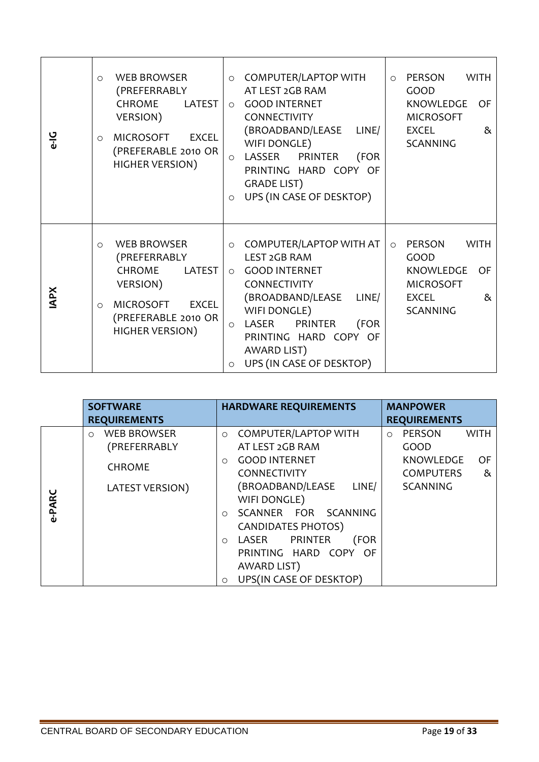| ں<br>ہ     | <b>WEB BROWSER</b><br>$\circ$<br>(PREFERRABLY<br><b>CHROME</b><br><b>LATEST</b><br>VERSION)<br><b>MICROSOFT</b><br><b>EXCEL</b><br>$\circ$<br>(PREFERABLE 2010 OR<br><b>HIGHER VERSION)</b> | <b>COMPUTER/LAPTOP WITH</b><br>$\circ$<br>AT LEST 2GB RAM<br><b>GOOD INTERNET</b><br>$\circ$<br>CONNECTIVITY<br>(BROADBAND/LEASE<br>LINE/<br>WIFI DONGLE)<br>LASSER PRINTER<br>(FOR<br>$\circ$<br>PRINTING HARD COPY OF<br><b>GRADE LIST)</b><br>UPS (IN CASE OF DESKTOP)<br>$\circ$ | <b>PERSON</b><br>WITH<br>$\circ$<br>GOOD<br>KNOWLEDGE<br>0F<br><b>MICROSOFT</b><br>8 <sub>x</sub><br><b>EXCEL</b><br><b>SCANNING</b>         |
|------------|---------------------------------------------------------------------------------------------------------------------------------------------------------------------------------------------|--------------------------------------------------------------------------------------------------------------------------------------------------------------------------------------------------------------------------------------------------------------------------------------|----------------------------------------------------------------------------------------------------------------------------------------------|
| <b>APX</b> | <b>WEB BROWSER</b><br>$\Omega$<br>(PREFERRABLY<br><b>CHROME</b><br>LATEST<br>VERSION)<br><b>MICROSOFT</b><br><b>EXCEL</b><br>$\circ$<br>(PREFERABLE 2010 OR<br><b>HIGHER VERSION)</b>       | COMPUTER/LAPTOP WITH AT<br>$\circ$<br>LEST 2GB RAM<br><b>GOOD INTERNET</b><br>$\circ$<br>CONNECTIVITY<br>(BROADBAND/LEASE<br>LINE/<br>WIFI DONGLE)<br>LASER<br><b>PRINTER</b><br>(FOR<br>$\circ$<br>PRINTING HARD COPY OF<br>AWARD LIST)<br>UPS (IN CASE OF DESKTOP)<br>$\circ$      | <b>WITH</b><br><b>PERSON</b><br>$\circ$<br>GOOD<br><b>KNOWLEDGE</b><br><b>OF</b><br><b>MICROSOFT</b><br>&<br><b>EXCEL</b><br><b>SCANNING</b> |

|        | <b>SOFTWARE</b>               | <b>HARDWARE REQUIREMENTS</b>           | <b>MANPOWER</b>                  |  |
|--------|-------------------------------|----------------------------------------|----------------------------------|--|
|        | <b>REQUIREMENTS</b>           |                                        | <b>REQUIREMENTS</b>              |  |
|        | <b>WEB BROWSER</b><br>$\circ$ | <b>COMPUTER/LAPTOP WITH</b><br>$\circ$ | PERSON<br><b>WITH</b><br>$\circ$ |  |
|        | (PREFERRABLY                  | AT LEST 2GB RAM                        | GOOD                             |  |
|        |                               | <b>GOOD INTERNET</b><br>$\circ$        | <b>KNOWLEDGE</b><br>OF           |  |
|        | <b>CHROME</b>                 | <b>CONNECTIVITY</b>                    | <b>COMPUTERS</b><br>&            |  |
|        | LATEST VERSION)               | (BROADBAND/LEASE<br>LINE/              | <b>SCANNING</b>                  |  |
| e-PARC |                               | WIFI DONGLE)                           |                                  |  |
|        |                               | SCANNER FOR SCANNING<br>$\circ$        |                                  |  |
|        |                               | <b>CANDIDATES PHOTOS)</b>              |                                  |  |
|        |                               | LASER PRINTER<br>(FOR<br>$\circ$       |                                  |  |
|        |                               | PRINTING HARD COPY OF                  |                                  |  |
|        |                               | AWARD LIST)                            |                                  |  |
|        |                               | UPS(IN CASE OF DESKTOP)<br>$\circ$     |                                  |  |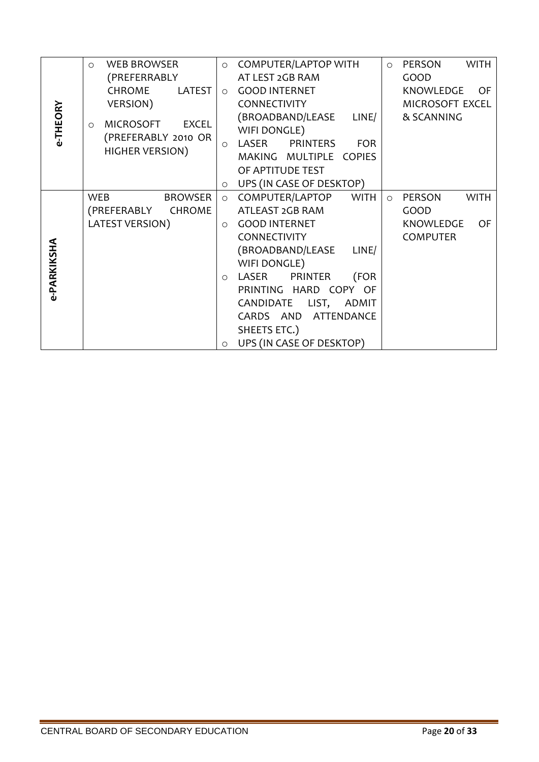|             | <b>WEB BROWSER</b><br>$\circ$          |         | <b>COMPUTER/LAPTOP WITH</b>            | $\circ$ | <b>WITH</b><br>PERSON         |
|-------------|----------------------------------------|---------|----------------------------------------|---------|-------------------------------|
|             | (PREFERRABLY                           |         | AT LEST 2GB RAM                        |         | GOOD                          |
|             | <b>CHROME</b><br><b>LATEST</b>         |         | <b>GOOD INTERNET</b>                   |         | KNOWLEDGE<br><b>OF</b>        |
|             | VERSION)                               |         | CONNECTIVITY                           |         | MICROSOFT EXCEL               |
|             | <b>EXCEL</b>                           |         | (BROADBAND/LEASE LINE/                 |         | & SCANNING                    |
| e-THEORY    | <b>MICROSOFT</b><br>$\circ$            |         | WIFI DONGLE)                           |         |                               |
|             | (PREFERABLY 2010 OR<br>HIGHER VERSION) | $\circ$ | LASER<br><b>PRINTERS</b><br><b>FOR</b> |         |                               |
|             |                                        |         | MAKING MULTIPLE COPIES                 |         |                               |
|             |                                        |         | OF APTITUDE TEST                       |         |                               |
|             |                                        | $\circ$ | UPS (IN CASE OF DESKTOP)               |         |                               |
|             | <b>BROWSER</b><br><b>WEB</b>           | $\circ$ | COMPUTER/LAPTOP<br><b>WITH</b>         | $\circ$ | <b>WITH</b><br><b>PERSON</b>  |
|             | (PREFERABLY<br>CHROME                  |         | ATLEAST 2GB RAM                        |         | GOOD                          |
|             | <b>LATEST VERSION)</b>                 |         | <b>GOOD INTERNET</b>                   |         | <b>KNOWLEDGE</b><br><b>OF</b> |
|             |                                        |         | CONNECTIVITY                           |         | <b>COMPUTER</b>               |
|             |                                        |         | (BROADBAND/LEASE LINE/                 |         |                               |
| e-PARKIKSHA |                                        |         | WIFI DONGLE)                           |         |                               |
|             |                                        | $\circ$ | LASER PRINTER<br>(FOR                  |         |                               |
|             |                                        |         | PRINTING HARD COPY OF                  |         |                               |
|             |                                        |         | CANDIDATE LIST, ADMIT                  |         |                               |
|             |                                        |         | CARDS AND ATTENDANCE                   |         |                               |
|             |                                        |         | SHEETS ETC.)                           |         |                               |
|             |                                        | $\circ$ | UPS (IN CASE OF DESKTOP)               |         |                               |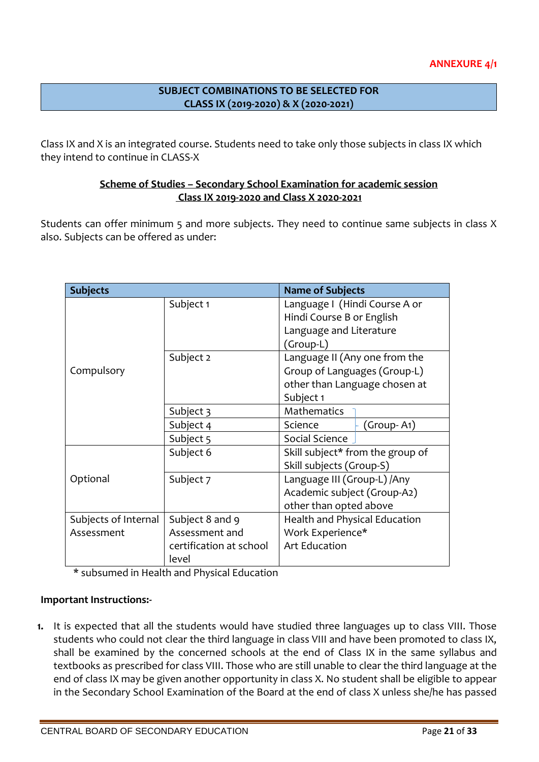## **SUBJECT COMBINATIONS TO BE SELECTED FOR CLASS IX (2019-2020) & X (2020-2021)**

Class IX and X is an integrated course. Students need to take only those subjects in class IX which they intend to continue in CLASS-X

### **Scheme of Studies – Secondary School Examination for academic session Class IX 2019-2020 and Class X 2020-2021**

Students can offer minimum 5 and more subjects. They need to continue same subjects in class X also. Subjects can be offered as under:

| <b>Subjects</b>      |                         | <b>Name of Subjects</b>          |  |  |
|----------------------|-------------------------|----------------------------------|--|--|
|                      | Subject 1               | Language I (Hindi Course A or    |  |  |
|                      |                         | Hindi Course B or English        |  |  |
|                      |                         | Language and Literature          |  |  |
|                      |                         | (Group-L)                        |  |  |
|                      | Subject 2               | Language II (Any one from the    |  |  |
| Compulsory           |                         | Group of Languages (Group-L)     |  |  |
|                      |                         | other than Language chosen at    |  |  |
|                      |                         | Subject 1                        |  |  |
|                      | Subject 3               | <b>Mathematics</b>               |  |  |
|                      | Subject 4               | Science<br>(Group- A1)           |  |  |
|                      | Subject 5               | Social Science                   |  |  |
|                      | Subject 6               | Skill subject* from the group of |  |  |
|                      |                         | Skill subjects (Group-S)         |  |  |
| Optional             | Subject 7               | Language III (Group-L) / Any     |  |  |
|                      |                         | Academic subject (Group-A2)      |  |  |
|                      |                         | other than opted above           |  |  |
| Subjects of Internal | Subject 8 and 9         | Health and Physical Education    |  |  |
| Assessment           | Assessment and          | Work Experience*                 |  |  |
|                      | certification at school | <b>Art Education</b>             |  |  |
|                      | level                   |                                  |  |  |

\* subsumed in Health and Physical Education

### **Important Instructions:-**

**1.** It is expected that all the students would have studied three languages up to class VIII. Those students who could not clear the third language in class VIII and have been promoted to class IX, shall be examined by the concerned schools at the end of Class IX in the same syllabus and textbooks as prescribed for class VIII. Those who are still unable to clear the third language at the end of class IX may be given another opportunity in class X. No student shall be eligible to appear in the Secondary School Examination of the Board at the end of class X unless she/he has passed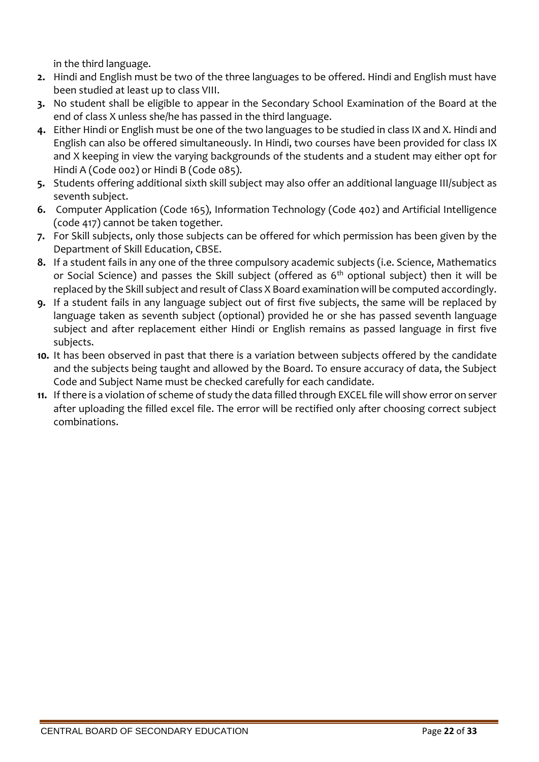in the third language.

- **2.** Hindi and English must be two of the three languages to be offered. Hindi and English must have been studied at least up to class VIII.
- **3.** No student shall be eligible to appear in the Secondary School Examination of the Board at the end of class X unless she/he has passed in the third language.
- **4.** Either Hindi or English must be one of the two languages to be studied in class IX and X. Hindi and English can also be offered simultaneously. In Hindi, two courses have been provided for class IX and X keeping in view the varying backgrounds of the students and a student may either opt for Hindi A (Code 002) or Hindi B (Code 085).
- **5.** Students offering additional sixth skill subject may also offer an additional language III/subject as seventh subject.
- **6.** Computer Application (Code 165), Information Technology (Code 402) and Artificial Intelligence (code 417) cannot be taken together.
- **7.** For Skill subjects, only those subjects can be offered for which permission has been given by the Department of Skill Education, CBSE.
- **8.** If a student fails in any one of the three compulsory academic subjects (i.e. Science, Mathematics or Social Science) and passes the Skill subject (offered as 6<sup>th</sup> optional subject) then it will be replaced by the Skill subject and result of Class X Board examination will be computed accordingly.
- **9.** If a student fails in any language subject out of first five subjects, the same will be replaced by language taken as seventh subject (optional) provided he or she has passed seventh language subject and after replacement either Hindi or English remains as passed language in first five subjects.
- **10.** It has been observed in past that there is a variation between subjects offered by the candidate and the subjects being taught and allowed by the Board. To ensure accuracy of data, the Subject Code and Subject Name must be checked carefully for each candidate.
- **11.** If there is a violation of scheme of study the data filled through EXCEL file will show error on server after uploading the filled excel file. The error will be rectified only after choosing correct subject combinations.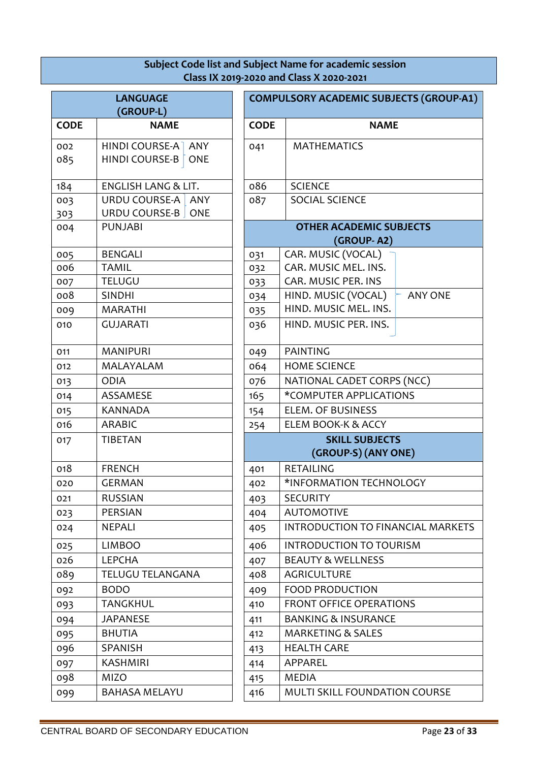### **Subject Code list and Subject Name for academic session Class IX 2019-2020 and Class X 2020-2021**

|             | <b>LANGUAGE</b>                |             | <b>COMPULSORY ACADEMIC SUBJECTS (G</b>       |     |  |  |
|-------------|--------------------------------|-------------|----------------------------------------------|-----|--|--|
|             | (GROUP-L)                      |             |                                              |     |  |  |
| <b>CODE</b> | <b>NAME</b>                    | <b>CODE</b> | <b>NAME</b>                                  |     |  |  |
| 002         | HINDI COURSE-A ANY             | 041         | <b>MATHEMATICS</b>                           |     |  |  |
| 085         | HINDI COURSE-B<br><b>ONE</b>   |             |                                              |     |  |  |
| 184         | <b>ENGLISH LANG &amp; LIT.</b> | 086         | <b>SCIENCE</b>                               |     |  |  |
| 003         | URDU COURSE-A   ANY            | 087         | <b>SOCIAL SCIENCE</b>                        |     |  |  |
| 303         | URDU COURSE-B<br><b>ONE</b>    |             |                                              |     |  |  |
| 004         | <b>PUNJABI</b>                 |             | <b>OTHER ACADEMIC SUBJECTS</b><br>(GROUP-A2) |     |  |  |
| 005         | <b>BENGALI</b>                 | 031         | CAR. MUSIC (VOCAL)                           |     |  |  |
| 006         | <b>TAMIL</b>                   | 032         | CAR. MUSIC MEL. INS.                         |     |  |  |
| 007         | <b>TELUGU</b>                  | 033         | CAR. MUSIC PER. INS                          |     |  |  |
| 008         | <b>SINDHI</b>                  | 034         | HIND. MUSIC (VOCAL)                          | ANY |  |  |
| 009         | <b>MARATHI</b>                 | 035         | HIND. MUSIC MEL. INS.                        |     |  |  |
| 010         | <b>GUJARATI</b>                | 036         | HIND. MUSIC PER. INS.                        |     |  |  |
| 011         | <b>MANIPURI</b>                | 049         | <b>PAINTING</b>                              |     |  |  |
| 012         | MALAYALAM                      | 064         | <b>HOME SCIENCE</b>                          |     |  |  |
| 013         | <b>ODIA</b>                    | 076         | NATIONAL CADET CORPS (NCC)                   |     |  |  |
| 014         | ASSAMESE                       | 165         | *COMPUTER APPLICATIONS                       |     |  |  |
| 015         | <b>KANNADA</b>                 | 154         | <b>ELEM. OF BUSINESS</b>                     |     |  |  |
| 016         | <b>ARABIC</b>                  | 254         | ELEM BOOK-K & ACCY                           |     |  |  |
| 017         | <b>TIBETAN</b>                 |             | <b>SKILL SUBJECTS</b><br>(GROUP-S) (ANY ONE) |     |  |  |
| 018         | <b>FRENCH</b>                  | 401         | <b>RETAILING</b>                             |     |  |  |
| 020         | <b>GERMAN</b>                  | 402         | *INFORMATION TECHNOLOGY                      |     |  |  |
| 021         | <b>RUSSIAN</b>                 | 403         | <b>SECURITY</b>                              |     |  |  |
| 023         | <b>PERSIAN</b>                 | 404         | <b>AUTOMOTIVE</b>                            |     |  |  |
| 024         | <b>NEPALI</b>                  | 405         | INTRODUCTION TO FINANCIAL                    |     |  |  |
| 025         | <b>LIMBOO</b>                  | 406         | <b>INTRODUCTION TO TOURISM</b>               |     |  |  |
| 026         | <b>LEPCHA</b>                  | 407         | <b>BEAUTY &amp; WELLNESS</b>                 |     |  |  |
| 089         | <b>TELUGU TELANGANA</b>        | 408         | <b>AGRICULTURE</b>                           |     |  |  |
| 092         | <b>BODO</b>                    | 409         | <b>FOOD PRODUCTION</b>                       |     |  |  |
| 093         | <b>TANGKHUL</b>                | 410         | <b>FRONT OFFICE OPERATIONS</b>               |     |  |  |
| 094         | <b>JAPANESE</b>                | 411         | <b>BANKING &amp; INSURANCE</b>               |     |  |  |
| 095         | <b>BHUTIA</b>                  | 412         | <b>MARKETING &amp; SALES</b>                 |     |  |  |
| 096         | SPANISH                        | 413         | <b>HEALTH CARE</b>                           |     |  |  |
| 097         | <b>KASHMIRI</b>                | 414         | APPAREL                                      |     |  |  |
| 098         | <b>MIZO</b>                    | 415         | <b>MEDIA</b>                                 |     |  |  |
| 099         | <b>BAHASA MELAYU</b>           | 416         | MULTI SKILL FOUNDATION COL                   |     |  |  |
|             |                                |             |                                              |     |  |  |

|             | <b>LANGUAGE</b>                                              | <b>COMPULSORY ACADEMIC SUBJECTS (GROUP-A1)</b> |                                              |                |  |
|-------------|--------------------------------------------------------------|------------------------------------------------|----------------------------------------------|----------------|--|
|             | (GROUP-L)                                                    |                                                |                                              |                |  |
| <b>CODE</b> | <b>NAME</b>                                                  | <b>CODE</b>                                    | <b>NAME</b>                                  |                |  |
| 002<br>085  | HINDI COURSE-A<br><b>ANY</b><br>HINDI COURSE-B<br><b>ONE</b> | 041                                            | <b>MATHEMATICS</b>                           |                |  |
| 184         | <b>ENGLISH LANG &amp; LIT.</b>                               | 086                                            | <b>SCIENCE</b>                               |                |  |
| 003         | URDU COURSE-A<br>ANY                                         | 087                                            | <b>SOCIAL SCIENCE</b>                        |                |  |
| 303         | URDU COURSE-B ONE                                            |                                                |                                              |                |  |
| 004         | <b>PUNJABI</b>                                               |                                                | <b>OTHER ACADEMIC SUBJECTS</b><br>(GROUP-A2) |                |  |
| 005         | <b>BENGALI</b>                                               | 031                                            | CAR. MUSIC (VOCAL)                           |                |  |
| 006         | <b>TAMIL</b>                                                 | 032                                            | CAR. MUSIC MEL. INS.                         |                |  |
| 007         | <b>TELUGU</b>                                                | 033                                            | CAR. MUSIC PER. INS                          |                |  |
| 008         | <b>SINDHI</b>                                                | 034                                            | HIND. MUSIC (VOCAL)                          | <b>ANY ONE</b> |  |
| 009         | <b>MARATHI</b>                                               | 035                                            | HIND. MUSIC MEL. INS.                        |                |  |
| 010         | <b>GUJARATI</b>                                              | 036                                            | HIND. MUSIC PER. INS.                        |                |  |
| 011         | <b>MANIPURI</b>                                              | 049                                            | <b>PAINTING</b>                              |                |  |
| 012         | MALAYALAM                                                    | 064                                            | <b>HOME SCIENCE</b>                          |                |  |
| 013         | <b>ODIA</b>                                                  | 076                                            | NATIONAL CADET CORPS (NCC)                   |                |  |
| 014         | ASSAMESE                                                     | 165                                            | *COMPUTER APPLICATIONS                       |                |  |
| 015         | <b>KANNADA</b>                                               | 154                                            | <b>ELEM. OF BUSINESS</b>                     |                |  |
| 016         | <b>ARABIC</b>                                                | 254                                            | ELEM BOOK-K & ACCY                           |                |  |
| 017         | <b>TIBETAN</b>                                               |                                                | <b>SKILL SUBJECTS</b>                        |                |  |
|             |                                                              |                                                | (GROUP-S) (ANY ONE)                          |                |  |
| 018         | <b>FRENCH</b>                                                | 401                                            | <b>RETAILING</b>                             |                |  |
| 020         | <b>GERMAN</b>                                                | 402                                            | *INFORMATION TECHNOLOGY                      |                |  |
| 021         | <b>RUSSIAN</b>                                               | 403                                            | <b>SECURITY</b>                              |                |  |
| 023         | PERSIAN                                                      | 404                                            | <b>AUTOMOTIVE</b>                            |                |  |
| 024         | <b>NEPALI</b>                                                | 405                                            | INTRODUCTION TO FINANCIAL MARKETS            |                |  |
| 025         | <b>LIMBOO</b>                                                | 406                                            | <b>INTRODUCTION TO TOURISM</b>               |                |  |
| 026         | <b>LEPCHA</b>                                                | 407                                            | <b>BEAUTY &amp; WELLNESS</b>                 |                |  |
| 089         | <b>TELUGU TELANGANA</b>                                      | 408                                            | <b>AGRICULTURE</b>                           |                |  |
| 092         | <b>BODO</b>                                                  | 409                                            | <b>FOOD PRODUCTION</b>                       |                |  |
| 093         | <b>TANGKHUL</b>                                              | 410                                            | <b>FRONT OFFICE OPERATIONS</b>               |                |  |
| 094         | <b>JAPANESE</b>                                              | 411                                            | <b>BANKING &amp; INSURANCE</b>               |                |  |
| 095         | <b>BHUTIA</b>                                                | 412                                            | <b>MARKETING &amp; SALES</b>                 |                |  |
| 096         | <b>SPANISH</b>                                               | 413                                            | <b>HEALTH CARE</b>                           |                |  |
| 097         | <b>KASHMIRI</b>                                              | 414                                            | APPAREL                                      |                |  |
| 098         | <b>MIZO</b>                                                  | 415                                            | <b>MEDIA</b>                                 |                |  |
| 099         | <b>BAHASA MELAYU</b>                                         | 416                                            | MULTI SKILL FOUNDATION COURSE                |                |  |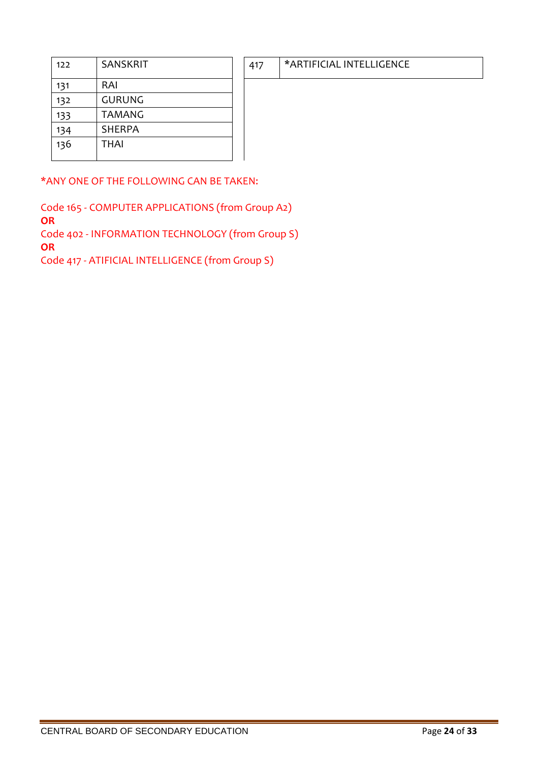| 122 | <b>SANSKRIT</b> |
|-----|-----------------|
| 131 | RAI             |
| 132 | GURUNG          |
| 133 | TAMANG          |
| 134 | <b>SHERPA</b>   |
| 136 | <b>THAI</b>     |

\*ANY ONE OF THE FOLLOWING CAN BE TAKEN:

Code 165 - COMPUTER APPLICATIONS (from Group A2) **OR**  Code 402 - INFORMATION TECHNOLOGY (from Group S) **OR** Code 417 - ATIFICIAL INTELLIGENCE (from Group S)

# 417 | \*ARTIFICIAL INTELLIGENCE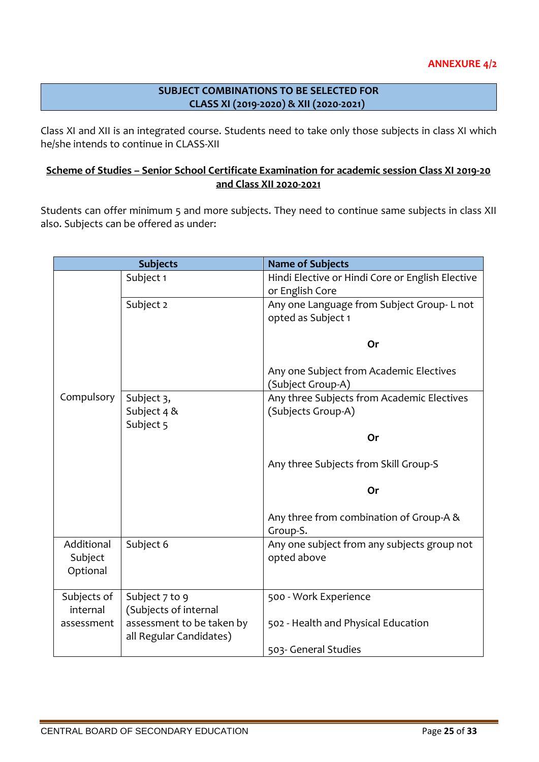### **SUBJECT COMBINATIONS TO BE SELECTED FOR CLASS XI (2019-2020) & XII (2020-2021)**

Class XI and XII is an integrated course. Students need to take only those subjects in class XI which he/she intends to continue in CLASS-XII

### **Scheme of Studies – Senior School Certificate Examination for academic session Class XI 2019-20 and Class XII 2020-2021**

Students can offer minimum 5 and more subjects. They need to continue same subjects in class XII also. Subjects can be offered as under:

|                                   | <b>Subjects</b>                                      | <b>Name of Subjects</b>                                             |
|-----------------------------------|------------------------------------------------------|---------------------------------------------------------------------|
|                                   | Subject 1                                            | Hindi Elective or Hindi Core or English Elective<br>or English Core |
|                                   | Subject 2                                            | Any one Language from Subject Group-L not<br>opted as Subject 1     |
|                                   |                                                      | Or                                                                  |
|                                   |                                                      | Any one Subject from Academic Electives<br>(Subject Group-A)        |
| Compulsory                        | Subject 3,<br>Subject 4 &<br>Subject 5               | Any three Subjects from Academic Electives<br>(Subjects Group-A)    |
|                                   |                                                      | Or                                                                  |
|                                   |                                                      | Any three Subjects from Skill Group-S                               |
|                                   |                                                      | Or                                                                  |
|                                   |                                                      | Any three from combination of Group-A &<br>Group-S.                 |
| Additional<br>Subject<br>Optional | Subject 6                                            | Any one subject from any subjects group not<br>opted above          |
| Subjects of<br>internal           | Subject 7 to 9<br>(Subjects of internal              | 500 - Work Experience                                               |
| assessment                        | assessment to be taken by<br>all Regular Candidates) | 502 - Health and Physical Education                                 |
|                                   |                                                      | 503- General Studies                                                |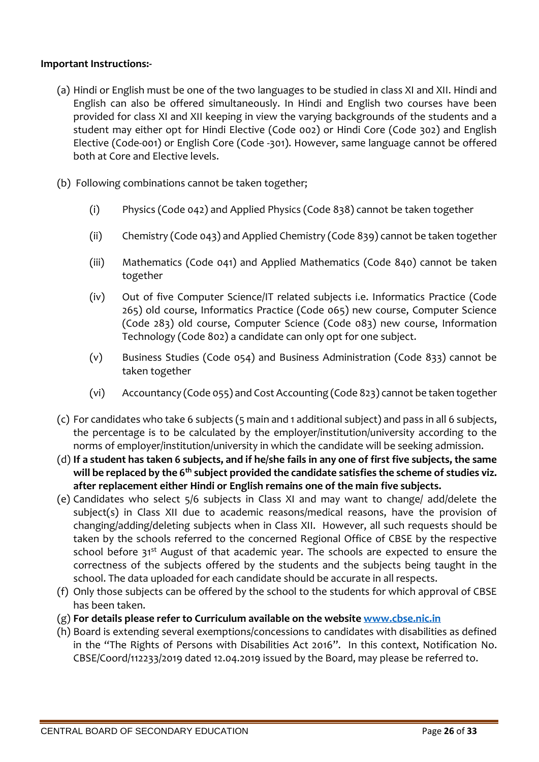### **Important Instructions:-**

- (a) Hindi or English must be one of the two languages to be studied in class XI and XII. Hindi and English can also be offered simultaneously. In Hindi and English two courses have been provided for class XI and XII keeping in view the varying backgrounds of the students and a student may either opt for Hindi Elective (Code 002) or Hindi Core (Code 302) and English Elective (Code-001) or English Core (Code -301). However, same language cannot be offered both at Core and Elective levels.
- (b) Following combinations cannot be taken together;
	- (i) Physics (Code 042) and Applied Physics (Code 838) cannot be taken together
	- (ii) Chemistry (Code 043) and Applied Chemistry (Code 839) cannot be taken together
	- (iii) Mathematics (Code 041) and Applied Mathematics (Code 840) cannot be taken together
	- (iv) Out of five Computer Science/IT related subjects i.e. Informatics Practice (Code 265) old course, Informatics Practice (Code 065) new course, Computer Science (Code 283) old course, Computer Science (Code 083) new course, Information Technology (Code 802) a candidate can only opt for one subject.
	- (v) Business Studies (Code 054) and Business Administration (Code 833) cannot be taken together
	- (vi) Accountancy (Code 055) and Cost Accounting (Code 823) cannot be taken together
- (c) For candidates who take 6 subjects (5 main and 1 additional subject) and pass in all 6 subjects, the percentage is to be calculated by the employer/institution/university according to the norms of employer/institution/university in which the candidate will be seeking admission.
- (d) **If a student has taken 6 subjects, and if he/she fails in any one of first five subjects, the same will be replaced by the 6th subject provided the candidate satisfies the scheme of studies viz. after replacement either Hindi or English remains one of the main five subjects.**
- (e) Candidates who select 5/6 subjects in Class XI and may want to change/ add/delete the subject(s) in Class XII due to academic reasons/medical reasons, have the provision of changing/adding/deleting subjects when in Class XII. However, all such requests should be taken by the schools referred to the concerned Regional Office of CBSE by the respective school before 31<sup>st</sup> August of that academic year. The schools are expected to ensure the correctness of the subjects offered by the students and the subjects being taught in the school. The data uploaded for each candidate should be accurate in all respects.
- (f) Only those subjects can be offered by the school to the students for which approval of CBSE has been taken.
- (g) **For details please refer to Curriculum available on the website [www.cbse.nic.in](http://www.cbse.nic.in/)**
- (h) Board is extending several exemptions/concessions to candidates with disabilities as defined in the "The Rights of Persons with Disabilities Act 2016". In this context, Notification No. CBSE/Coord/112233/2019 dated 12.04.2019 issued by the Board, may please be referred to.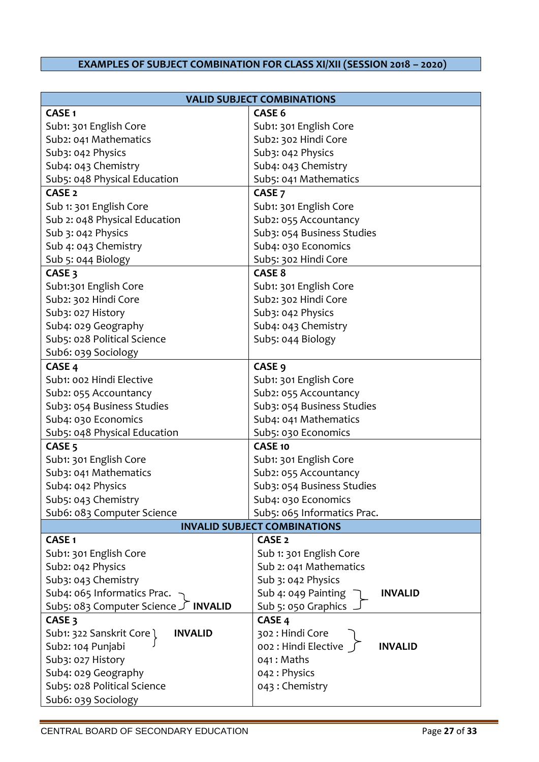# **EXAMPLES OF SUBJECT COMBINATION FOR CLASS XI/XII (SESSION 2018 – 2020)**

| <b>VALID SUBJECT COMBINATIONS</b>           |                                        |  |  |
|---------------------------------------------|----------------------------------------|--|--|
| <b>CASE1</b>                                | <b>CASE 6</b>                          |  |  |
| Sub1: 301 English Core                      | Sub1: 301 English Core                 |  |  |
| Sub2: 041 Mathematics                       | Sub2: 302 Hindi Core                   |  |  |
| Sub3: 042 Physics                           | Sub3: 042 Physics                      |  |  |
| Sub4: 043 Chemistry                         | Sub4: 043 Chemistry                    |  |  |
| Sub5: 048 Physical Education                | Sub5: 041 Mathematics                  |  |  |
| CASE <sub>2</sub>                           | CASE <sub>7</sub>                      |  |  |
| Sub 1: 301 English Core                     | Sub1: 301 English Core                 |  |  |
| Sub 2: 048 Physical Education               | Sub2: 055 Accountancy                  |  |  |
| Sub 3: 042 Physics                          | Sub3: 054 Business Studies             |  |  |
| Sub 4: 043 Chemistry                        | Sub4: 030 Economics                    |  |  |
| Sub 5: 044 Biology                          | Sub5: 302 Hindi Core                   |  |  |
| CASE <sub>3</sub>                           | CASE <sub>8</sub>                      |  |  |
| Sub1:301 English Core                       | Sub1: 301 English Core                 |  |  |
| Sub2: 302 Hindi Core                        | Sub2: 302 Hindi Core                   |  |  |
| Sub3: 027 History                           | Sub3: 042 Physics                      |  |  |
| Sub4: 029 Geography                         | Sub4: 043 Chemistry                    |  |  |
| Sub5: 028 Political Science                 | Sub5: 044 Biology                      |  |  |
| Sub6: 039 Sociology                         |                                        |  |  |
| CASE <sub>4</sub>                           | CASE <sub>9</sub>                      |  |  |
| Sub1: 002 Hindi Elective                    | Sub1: 301 English Core                 |  |  |
| Sub2: 055 Accountancy                       | Sub2: 055 Accountancy                  |  |  |
| Sub3: 054 Business Studies                  | Sub3: 054 Business Studies             |  |  |
| Sub4: 030 Economics                         | Sub4: 041 Mathematics                  |  |  |
| Sub5: 048 Physical Education                | Sub5: 030 Economics                    |  |  |
| CASE <sub>5</sub>                           | <b>CASE 10</b>                         |  |  |
| Sub1: 301 English Core                      | Sub1: 301 English Core                 |  |  |
| Sub3: 041 Mathematics                       | Sub2: 055 Accountancy                  |  |  |
| Sub4: 042 Physics                           | Sub3: 054 Business Studies             |  |  |
| Sub5: 043 Chemistry                         | Sub4: 030 Economics                    |  |  |
| Sub6: 083 Computer Science                  | Sub5: 065 Informatics Prac.            |  |  |
|                                             | <b>INVALID SUBJECT COMBINATIONS</b>    |  |  |
| <b>CASE1</b>                                | CASE <sub>2</sub>                      |  |  |
| Sub1: 301 English Core                      | Sub 1: 301 English Core                |  |  |
| Sub2: 042 Physics                           | Sub 2: 041 Mathematics                 |  |  |
| Sub3: 043 Chemistry                         | Sub 3: 042 Physics                     |  |  |
| Sub4: 065 Informatics Prac.                 | Sub 4: 049 Painting<br><b>INVALID</b>  |  |  |
| Sub5: 083 Computer Science J INVALID        | Sub 5: 050 Graphics                    |  |  |
| CASE <sub>3</sub>                           | CASE <sub>4</sub>                      |  |  |
| Sub1: 322 Sanskrit Core l<br><b>INVALID</b> | 302 : Hindi Core                       |  |  |
| Sub2: 104 Punjabi                           | 002 : Hindi Elective<br><b>INVALID</b> |  |  |
| Sub3: 027 History                           | 041: Maths                             |  |  |
| Sub4: 029 Geography                         | 042: Physics                           |  |  |
| Sub5: 028 Political Science                 | 043: Chemistry                         |  |  |
| Sub6: 039 Sociology                         |                                        |  |  |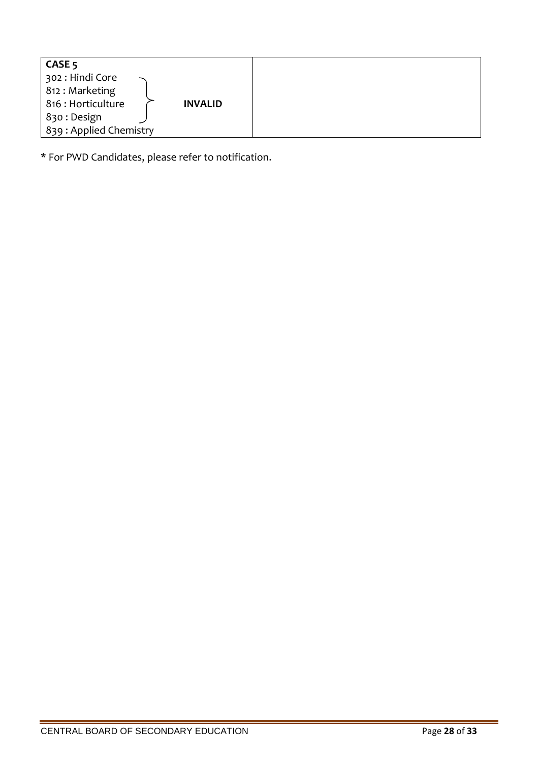| CASE <sub>5</sub>      |                |
|------------------------|----------------|
| 302 : Hindi Core       |                |
| 812 : Marketing        |                |
| 816 : Horticulture     | <b>INVALID</b> |
| 830 : Design           |                |
| 839: Applied Chemistry |                |

\* For PWD Candidates, please refer to notification.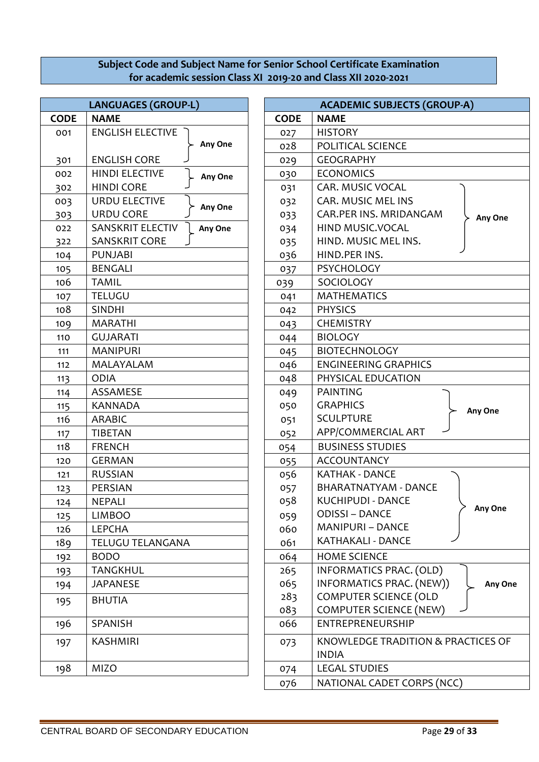### **Subject Code and Subject Name for Senior School Certificate Examination for academic session Class XI 2019-20 and Class XII 2020-2021**

| <b>LANGUAGES (GROUP-L)</b> |                                  |  | <b>ACADEMIC SUBJECTS (GRO</b> |                                                  |  |
|----------------------------|----------------------------------|--|-------------------------------|--------------------------------------------------|--|
| <b>CODE</b>                | <b>NAME</b>                      |  | <b>CODE</b>                   | <b>NAME</b>                                      |  |
| 001                        | <b>ENGLISH ELECTIVE</b>          |  | 027                           | <b>HISTORY</b>                                   |  |
|                            | Any One                          |  | 028                           | POLITICAL SCIENCE                                |  |
| 301                        | <b>ENGLISH CORE</b>              |  | 029                           | <b>GEOGRAPHY</b>                                 |  |
| 002                        | <b>HINDI ELECTIVE</b><br>Any One |  | 030                           | <b>ECONOMICS</b>                                 |  |
| 302                        | <b>HINDI CORE</b>                |  | 031                           | CAR. MUSIC VOCAL                                 |  |
| 003                        | URDU ELECTIVE                    |  | 032                           | <b>CAR. MUSIC MEL INS</b>                        |  |
| 303                        | Any One<br><b>URDU CORE</b>      |  | 033                           | CAR.PER INS. MRIDANGAM                           |  |
| 022                        | SANSKRIT ELECTIV<br>Any One      |  | 034                           | HIND MUSIC.VOCAL                                 |  |
| 322                        | <b>SANSKRIT CORE</b>             |  | 035                           | HIND. MUSIC MEL INS.                             |  |
| 104                        | <b>PUNJABI</b>                   |  | 036                           | HIND.PER INS.                                    |  |
| 105                        | <b>BENGALI</b>                   |  | 037                           | <b>PSYCHOLOGY</b>                                |  |
| 106                        | <b>TAMIL</b>                     |  | 039                           | SOCIOLOGY                                        |  |
| 107                        | <b>TELUGU</b>                    |  | 041                           | <b>MATHEMATICS</b>                               |  |
| 108                        | <b>SINDHI</b>                    |  | 042                           | <b>PHYSICS</b>                                   |  |
| 109                        | <b>MARATHI</b>                   |  | 043                           | <b>CHEMISTRY</b>                                 |  |
| 110                        | <b>GUJARATI</b>                  |  | 044                           | <b>BIOLOGY</b>                                   |  |
| 111                        | <b>MANIPURI</b>                  |  | 045                           | <b>BIOTECHNOLOGY</b>                             |  |
| 112                        | MALAYALAM                        |  | 046                           | <b>ENGINEERING GRAPHICS</b>                      |  |
| 113                        | <b>ODIA</b>                      |  | 048                           | PHYSICAL EDUCATION                               |  |
| 114                        | ASSAMESE                         |  | 049                           | <b>PAINTING</b>                                  |  |
| 115                        | <b>KANNADA</b>                   |  | 050                           | <b>GRAPHICS</b>                                  |  |
| 116                        | <b>ARABIC</b>                    |  | 051                           | <b>SCULPTURE</b>                                 |  |
| 117                        | <b>TIBETAN</b>                   |  | 052                           | APP/COMMERCIAL ART                               |  |
| 118                        | <b>FRENCH</b>                    |  | 054                           | <b>BUSINESS STUDIES</b>                          |  |
| 120                        | <b>GERMAN</b>                    |  | 055                           | <b>ACCOUNTANCY</b>                               |  |
| 121                        | <b>RUSSIAN</b>                   |  | 056                           | <b>KATHAK - DANCE</b>                            |  |
| 123                        | PERSIAN                          |  | 057                           | <b>BHARATNATYAM - DANCE</b>                      |  |
| 124                        | <b>NEPALI</b>                    |  | 058                           | <b>KUCHIPUDI - DANCE</b>                         |  |
| 125                        | <b>LIMBOO</b>                    |  | 059                           | <b>ODISSI - DANCE</b>                            |  |
| 126                        | <b>LEPCHA</b>                    |  | 060                           | <b>MANIPURI - DANCE</b>                          |  |
| 189                        | TELUGU TELANGANA                 |  | 061                           | KATHAKALI - DANCE                                |  |
| 192                        | <b>BODO</b>                      |  | 064                           | <b>HOME SCIENCE</b>                              |  |
| 193                        | <b>TANGKHUL</b>                  |  | 265                           | INFORMATICS PRAC. (OLD)                          |  |
| 194                        | <b>JAPANESE</b>                  |  | 065                           | <b>INFORMATICS PRAC. (NEW</b>                    |  |
| 195                        | <b>BHUTIA</b>                    |  | 283                           | <b>COMPUTER SCIENCE (OLD</b>                     |  |
|                            |                                  |  | 083                           | <b>COMPUTER SCIENCE (NEW)</b>                    |  |
| 196                        | SPANISH                          |  | 066                           | ENTREPRENEURSHIP                                 |  |
| 197                        | <b>KASHMIRI</b>                  |  | 073                           | <b>KNOWLEDGE TRADITION &amp;</b><br><b>INDIA</b> |  |
| 198                        | <b>MIZO</b>                      |  | 074                           | <b>LEGAL STUDIES</b>                             |  |
|                            |                                  |  |                               | NATIONAL CABET COBBC (N                          |  |

|            | <b>LANGUAGES (GROUP-L)</b>         |             | <b>ACADEMIC SUBJECTS (GROUP-A)</b>  |
|------------|------------------------------------|-------------|-------------------------------------|
| <b>ODE</b> | <b>NAME</b>                        | <b>CODE</b> | <b>NAME</b>                         |
| 001        | <b>ENGLISH ELECTIVE</b>            | 027         | <b>HISTORY</b>                      |
|            | Any One                            | 028         | POLITICAL SCIENCE                   |
| 301        | <b>ENGLISH CORE</b>                | 029         | <b>GEOGRAPHY</b>                    |
| 002        | <b>HINDI ELECTIVE</b><br>Any One   | 030         | <b>ECONOMICS</b>                    |
| 302        | <b>HINDI CORE</b>                  | 031         | CAR. MUSIC VOCAL                    |
| 003        | <b>URDU ELECTIVE</b>               | 032         | CAR. MUSIC MEL INS                  |
| 303        | Any One<br><b>URDU CORE</b>        | 033         | CAR.PER INS. MRIDANGAM<br>Any One   |
| 022        | <b>SANSKRIT ELECTIV</b><br>Any One | 034         | HIND MUSIC.VOCAL                    |
| 322        | <b>SANSKRIT CORE</b>               | 035         | HIND. MUSIC MEL INS.                |
| 104        | <b>PUNJABI</b>                     | 036         | HIND.PER INS.                       |
| 105        | <b>BENGALI</b>                     | 037         | PSYCHOLOGY                          |
| 106        | <b>TAMIL</b>                       | 039         | SOCIOLOGY                           |
| 107        | <b>TELUGU</b>                      | 041         | <b>MATHEMATICS</b>                  |
| 108        | <b>SINDHI</b>                      | 042         | <b>PHYSICS</b>                      |
| 109        | <b>MARATHI</b>                     | 043         | <b>CHEMISTRY</b>                    |
| 110        | <b>GUJARATI</b>                    | 044         | <b>BIOLOGY</b>                      |
| 111        | <b>MANIPURI</b>                    | 045         | <b>BIOTECHNOLOGY</b>                |
| 112        | MALAYALAM                          | 046         | <b>ENGINEERING GRAPHICS</b>         |
| 113        | <b>ODIA</b>                        | 048         | PHYSICAL EDUCATION                  |
| 114        | ASSAMESE                           | 049         | <b>PAINTING</b>                     |
| 115        | <b>KANNADA</b>                     | 050         | <b>GRAPHICS</b><br>Any One          |
| 116        | <b>ARABIC</b>                      | 051         | <b>SCULPTURE</b>                    |
| 117        | <b>TIBETAN</b>                     | 052         | APP/COMMERCIAL ART                  |
| 118        | <b>FRENCH</b>                      | 054         | <b>BUSINESS STUDIES</b>             |
| 120        | <b>GERMAN</b>                      | 055         | <b>ACCOUNTANCY</b>                  |
| 121        | <b>RUSSIAN</b>                     | 056         | <b>KATHAK - DANCE</b>               |
| 123        | <b>PERSIAN</b>                     | 057         | <b>BHARATNATYAM - DANCE</b>         |
| 124        | NEPALI                             | 058         | KUCHIPUDI - DANCE<br>Any One        |
| 125        | <b>LIMBOO</b>                      | 059         | <b>ODISSI - DANCE</b>               |
| 126        | <b>LEPCHA</b>                      | 060         | <b>MANIPURI - DANCE</b>             |
| 189        | <b>TELUGU TELANGANA</b>            | 061         | KATHAKALI - DANCE                   |
| 192        | <b>BODO</b>                        | 064         | <b>HOME SCIENCE</b>                 |
| 193        | <b>TANGKHUL</b>                    | 265         | INFORMATICS PRAC. (OLD)             |
| 194        | <b>JAPANESE</b>                    | 065         | INFORMATICS PRAC. (NEW))<br>Any One |
| 195        | <b>BHUTIA</b>                      | 283         | <b>COMPUTER SCIENCE (OLD</b>        |
|            |                                    | 083         | <b>COMPUTER SCIENCE (NEW)</b>       |
| 196        | SPANISH                            | 066         | ENTREPRENEURSHIP                    |
| 197        | <b>KASHMIRI</b>                    | 073         | KNOWLEDGE TRADITION & PRACTICES OF  |
|            |                                    |             | <b>INDIA</b>                        |
| 198        | <b>MIZO</b>                        | 074         | <b>LEGAL STUDIES</b>                |
|            |                                    | 076         | NATIONAL CADET CORPS (NCC)          |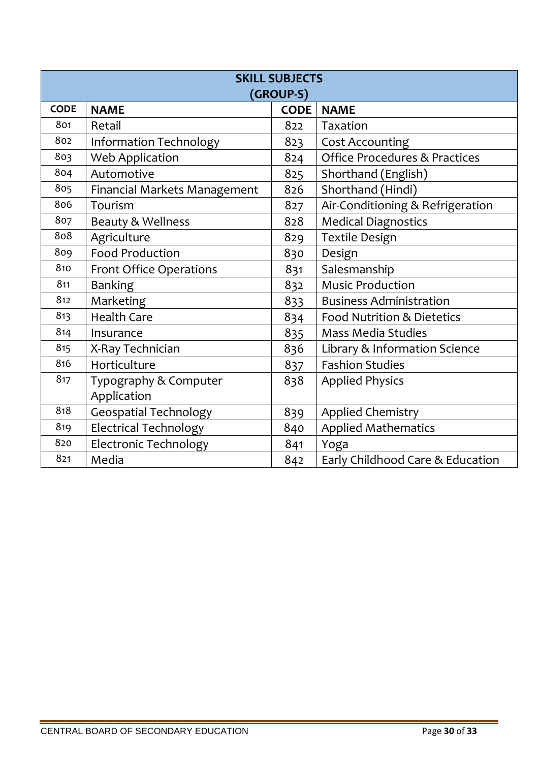| <b>SKILL SUBJECTS</b><br>(GROUP-S) |                                |             |                                          |  |  |
|------------------------------------|--------------------------------|-------------|------------------------------------------|--|--|
| <b>CODE</b>                        | <b>NAME</b>                    | <b>CODE</b> | <b>NAME</b>                              |  |  |
| 801                                | Retail                         | 822         | Taxation                                 |  |  |
| 802                                | <b>Information Technology</b>  | 823         | <b>Cost Accounting</b>                   |  |  |
| 803                                | <b>Web Application</b>         | 824         | <b>Office Procedures &amp; Practices</b> |  |  |
| 804                                | Automotive                     | 825         | Shorthand (English)                      |  |  |
| 805                                | Financial Markets Management   | 826         | Shorthand (Hindi)                        |  |  |
| 806                                | Tourism                        | 827         | Air-Conditioning & Refrigeration         |  |  |
| 807                                | Beauty & Wellness              | 828         | <b>Medical Diagnostics</b>               |  |  |
| 808                                | Agriculture                    | 829         | <b>Textile Design</b>                    |  |  |
| 809                                | <b>Food Production</b>         | 830         | Design                                   |  |  |
| 810                                | <b>Front Office Operations</b> | 831         | Salesmanship                             |  |  |
| 811                                | <b>Banking</b>                 | 832         | <b>Music Production</b>                  |  |  |
| 812                                | Marketing                      | 833         | <b>Business Administration</b>           |  |  |
| 813                                | <b>Health Care</b>             | 834         | Food Nutrition & Dietetics               |  |  |
| 814                                | Insurance                      | 835         | <b>Mass Media Studies</b>                |  |  |
| 815                                | X-Ray Technician               | 836         | Library & Information Science            |  |  |
| 816                                | Horticulture                   | 837         | <b>Fashion Studies</b>                   |  |  |
| 817                                | Typography & Computer          | 838         | <b>Applied Physics</b>                   |  |  |
|                                    | Application                    |             |                                          |  |  |
| 818                                | <b>Geospatial Technology</b>   | 839         | <b>Applied Chemistry</b>                 |  |  |
| 819                                | <b>Electrical Technology</b>   | 840         | <b>Applied Mathematics</b>               |  |  |
| 820                                | <b>Electronic Technology</b>   | 841         | Yoga                                     |  |  |
| 821                                | Media                          | 842         | Early Childhood Care & Education         |  |  |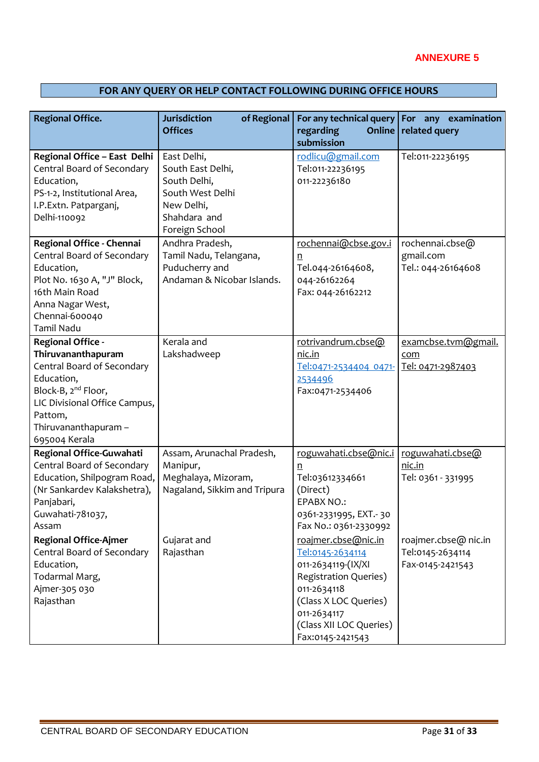# **FOR ANY QUERY OR HELP CONTACT FOLLOWING DURING OFFICE HOURS**

| <b>Regional Office.</b>                                                                                                                                                                                            | <b>Jurisdiction</b><br>of Regional<br><b>Offices</b>                                                                 | For any technical query<br>regarding<br>submission                                                                                                                                                  | For any examination<br>Online   related query                |
|--------------------------------------------------------------------------------------------------------------------------------------------------------------------------------------------------------------------|----------------------------------------------------------------------------------------------------------------------|-----------------------------------------------------------------------------------------------------------------------------------------------------------------------------------------------------|--------------------------------------------------------------|
| Regional Office - East Delhi<br>Central Board of Secondary<br>Education,<br>PS-1-2, Institutional Area,<br>I.P.Extn. Patparganj,<br>Delhi-110092                                                                   | East Delhi,<br>South East Delhi,<br>South Delhi,<br>South West Delhi<br>New Delhi,<br>Shahdara and<br>Foreign School | rodlicu@gmail.com<br>Tel:011-22236195<br>011-22236180                                                                                                                                               | Tel:011-22236195                                             |
| Regional Office - Chennai<br>Central Board of Secondary<br>Education,<br>Plot No. 1630 A, "J" Block,<br>16th Main Road<br>Anna Nagar West,<br>Chennai-600040<br>Tamil Nadu                                         | Andhra Pradesh,<br>Tamil Nadu, Telangana,<br>Puducherry and<br>Andaman & Nicobar Islands.                            | rochennai@cbse.gov.i<br>n<br>Tel.044-26164608,<br>044-26162264<br>Fax: 044-26162212                                                                                                                 | rochennai.cbse@<br>gmail.com<br>Tel.: 044-26164608           |
| <b>Regional Office -</b><br>Thiruvananthapuram<br>Central Board of Secondary<br>Education,<br>Block-B, 2 <sup>nd</sup> Floor,<br>LIC Divisional Office Campus,<br>Pattom,<br>Thiruvananthapuram -<br>695004 Kerala | Kerala and<br>Lakshadweep                                                                                            | rotrivandrum.cbse@<br>nic.in<br>Tel:0471-2534404 0471-<br>2534496<br>Fax:0471-2534406                                                                                                               | examcbse.tvm@gmail.<br>com<br>Tel: 0471-2987403              |
| Regional Office-Guwahati<br>Central Board of Secondary<br>Education, Shilpogram Road,<br>(Nr Sankardev Kalakshetra),<br>Panjabari,<br>Guwahati-781037,<br>Assam                                                    | Assam, Arunachal Pradesh,<br>Manipur,<br>Meghalaya, Mizoram,<br>Nagaland, Sikkim and Tripura                         | roguwahati.cbse@nic.i<br>n<br>Tel:03612334661<br>(Direct)<br><b>EPABX NO.:</b><br>0361-2331995, EXT.-30<br>Fax No.: 0361-2330992                                                                    | roguwahati.cbse@<br>nic.in<br>Tel: 0361 - 331995             |
| <b>Regional Office-Ajmer</b><br>Central Board of Secondary<br>Education,<br>Todarmal Marg,<br>Ajmer-305 030<br>Rajasthan                                                                                           | Gujarat and<br>Rajasthan                                                                                             | roajmer.cbse@nic.in<br>Tel:0145-2634114<br>011-2634119-(IX/XI<br><b>Registration Queries)</b><br>011-2634118<br>(Class X LOC Queries)<br>011-2634117<br>(Class XII LOC Queries)<br>Fax:0145-2421543 | roajmer.cbse@ nic.in<br>Tel:0145-2634114<br>Fax-0145-2421543 |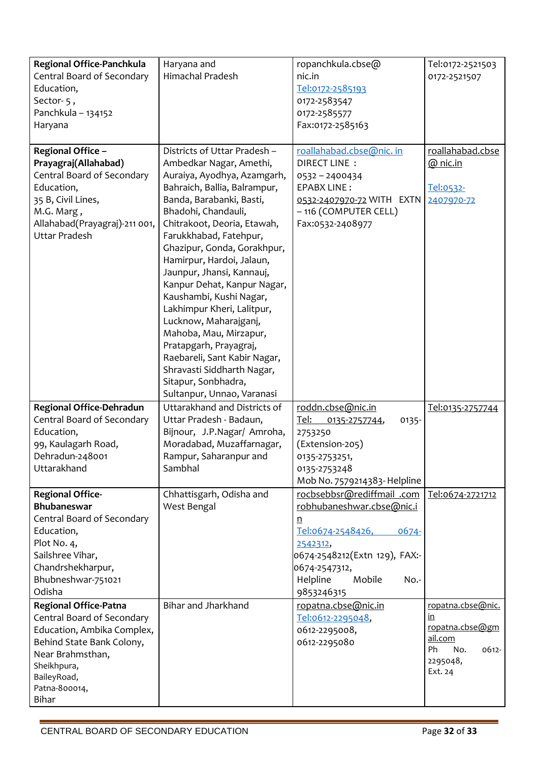| Regional Office-Panchkula<br>Central Board of Secondary<br>Education,<br>Sector-5,<br>Panchkula - 134152<br>Haryana                                                                               | Haryana and<br>Himachal Pradesh                                                                                                                                                                                                                                                                                                                                                                                                                                                                                                                                                                                     | ropanchkula.cbse@<br>nic.in<br>Tel:0172-2585193<br>0172-2583547<br>0172-2585577<br>Fax:0172-2585163                                                                                                     | Tel:0172-2521503<br>0172-2521507                                                                   |
|---------------------------------------------------------------------------------------------------------------------------------------------------------------------------------------------------|---------------------------------------------------------------------------------------------------------------------------------------------------------------------------------------------------------------------------------------------------------------------------------------------------------------------------------------------------------------------------------------------------------------------------------------------------------------------------------------------------------------------------------------------------------------------------------------------------------------------|---------------------------------------------------------------------------------------------------------------------------------------------------------------------------------------------------------|----------------------------------------------------------------------------------------------------|
| Regional Office -<br>Prayagraj(Allahabad)<br>Central Board of Secondary<br>Education,<br>35 B, Civil Lines,<br>M.G. Marg,<br>Allahabad(Prayagraj)-211 001,<br><b>Uttar Pradesh</b>                | Districts of Uttar Pradesh -<br>Ambedkar Nagar, Amethi,<br>Auraiya, Ayodhya, Azamgarh,<br>Bahraich, Ballia, Balrampur,<br>Banda, Barabanki, Basti,<br>Bhadohi, Chandauli,<br>Chitrakoot, Deoria, Etawah,<br>Farukkhabad, Fatehpur,<br>Ghazipur, Gonda, Gorakhpur,<br>Hamirpur, Hardoi, Jalaun,<br>Jaunpur, Jhansi, Kannauj,<br>Kanpur Dehat, Kanpur Nagar,<br>Kaushambi, Kushi Nagar,<br>Lakhimpur Kheri, Lalitpur,<br>Lucknow, Maharajganj,<br>Mahoba, Mau, Mirzapur,<br>Pratapgarh, Prayagraj,<br>Raebareli, Sant Kabir Nagar,<br>Shravasti Siddharth Nagar,<br>Sitapur, Sonbhadra,<br>Sultanpur, Unnao, Varanasi | roallahabad.cbse@nic.in<br>DIRECT LINE :<br>0532-2400434<br><b>EPABX LINE:</b><br>0532-2407970-72 WITH EXTN<br>-116 (COMPUTER CELL)<br>Fax:0532-2408977                                                 | roallahabad.cbse<br>$@$ nic.in<br>Tel:0532-<br>2407970-72                                          |
| <b>Regional Office-Dehradun</b><br>Central Board of Secondary<br>Education,<br>99, Kaulagarh Road,<br>Dehradun-248001<br>Uttarakhand                                                              | Uttarakhand and Districts of<br>Uttar Pradesh - Badaun,<br>Bijnour, J.P.Nagar/ Amroha,<br>Moradabad, Muzaffarnagar,<br>Rampur, Saharanpur and<br>Sambhal                                                                                                                                                                                                                                                                                                                                                                                                                                                            | roddn.cbse@nic.in<br>Tel:<br>0135-<br>0135-2757744,<br>2753250<br>(Extension-205)<br>0135-2753251,<br>0135-2753248<br>Mob No. 7579214383- Helpline                                                      | Tel:0135-2757744                                                                                   |
| <b>Regional Office-</b><br><b>Bhubaneswar</b><br>Central Board of Secondary<br>Education,<br>Plot No. 4,<br>Sailshree Vihar,<br>Chandrshekharpur,<br>Bhubneshwar-751021<br>Odisha                 | Chhattisgarh, Odisha and<br>West Bengal                                                                                                                                                                                                                                                                                                                                                                                                                                                                                                                                                                             | rocbsebbsr@rediffmail .com<br>robhubaneshwar.cbse@nic.i<br>n<br>Tel:0674-2548426,<br>$0674 -$<br>2542312,<br>0674-2548212(Extn 129), FAX:-<br>0674-2547312,<br>Helpline<br>Mobile<br>No.-<br>9853246315 | Tel:0674-2721712                                                                                   |
| <b>Regional Office-Patna</b><br>Central Board of Secondary<br>Education, Ambika Complex,<br>Behind State Bank Colony,<br>Near Brahmsthan,<br>Sheikhpura,<br>BaileyRoad,<br>Patna-800014,<br>Bihar | Bihar and Jharkhand                                                                                                                                                                                                                                                                                                                                                                                                                                                                                                                                                                                                 | ropatna.cbse@nic.in<br>Tel:0612-2295048,<br>0612-2295008,<br>0612-2295080                                                                                                                               | ropatna.cbse@nic.<br>in<br>ropatna.cbse@gm<br>ail.com<br>Ph<br>No.<br>0612-<br>2295048,<br>Ext. 24 |